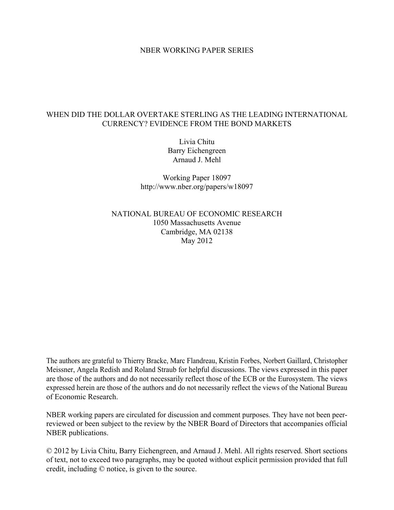# NBER WORKING PAPER SERIES

# WHEN DID THE DOLLAR OVERTAKE STERLING AS THE LEADING INTERNATIONAL CURRENCY? EVIDENCE FROM THE BOND MARKETS

Livia Chitu Barry Eichengreen Arnaud J. Mehl

Working Paper 18097 http://www.nber.org/papers/w18097

NATIONAL BUREAU OF ECONOMIC RESEARCH 1050 Massachusetts Avenue Cambridge, MA 02138 May 2012

The authors are grateful to Thierry Bracke, Marc Flandreau, Kristin Forbes, Norbert Gaillard, Christopher Meissner, Angela Redish and Roland Straub for helpful discussions. The views expressed in this paper are those of the authors and do not necessarily reflect those of the ECB or the Eurosystem. The views expressed herein are those of the authors and do not necessarily reflect the views of the National Bureau of Economic Research.

NBER working papers are circulated for discussion and comment purposes. They have not been peerreviewed or been subject to the review by the NBER Board of Directors that accompanies official NBER publications.

© 2012 by Livia Chitu, Barry Eichengreen, and Arnaud J. Mehl. All rights reserved. Short sections of text, not to exceed two paragraphs, may be quoted without explicit permission provided that full credit, including © notice, is given to the source.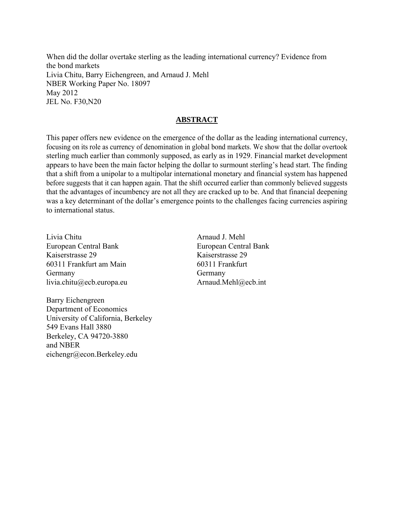When did the dollar overtake sterling as the leading international currency? Evidence from the bond markets Livia Chitu, Barry Eichengreen, and Arnaud J. Mehl NBER Working Paper No. 18097 May 2012 JEL No. F30,N20

# **ABSTRACT**

This paper offers new evidence on the emergence of the dollar as the leading international currency, focusing on its role as currency of denomination in global bond markets. We show that the dollar overtook sterling much earlier than commonly supposed, as early as in 1929. Financial market development appears to have been the main factor helping the dollar to surmount sterling's head start. The finding that a shift from a unipolar to a multipolar international monetary and financial system has happened before suggests that it can happen again. That the shift occurred earlier than commonly believed suggests that the advantages of incumbency are not all they are cracked up to be. And that financial deepening was a key determinant of the dollar's emergence points to the challenges facing currencies aspiring to international status.

Livia Chitu European Central Bank Kaiserstrasse 29 60311 Frankfurt am Main Germany livia.chitu@ecb.europa.eu

Barry Eichengreen Department of Economics University of California, Berkeley 549 Evans Hall 3880 Berkeley, CA 94720-3880 and NBER eichengr@econ.Berkeley.edu

Arnaud J. Mehl European Central Bank Kaiserstrasse 29 60311 Frankfurt Germany Arnaud.Mehl@ecb.int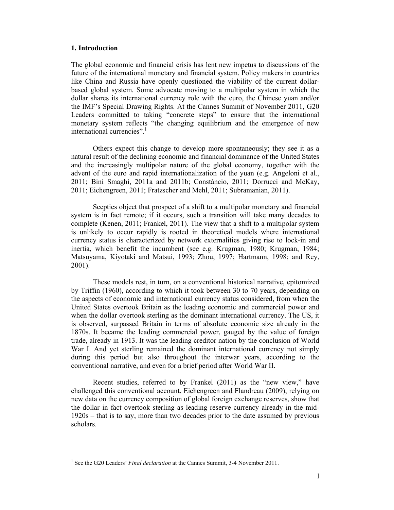### **1. Introduction**

The global economic and financial crisis has lent new impetus to discussions of the future of the international monetary and financial system. Policy makers in countries like China and Russia have openly questioned the viability of the current dollarbased global system. Some advocate moving to a multipolar system in which the dollar shares its international currency role with the euro, the Chinese yuan and/or the IMF's Special Drawing Rights. At the Cannes Summit of November 2011, G20 Leaders committed to taking "concrete steps" to ensure that the international monetary system reflects "the changing equilibrium and the emergence of new international currencies".<sup>1</sup>

Others expect this change to develop more spontaneously; they see it as a natural result of the declining economic and financial dominance of the United States and the increasingly multipolar nature of the global economy, together with the advent of the euro and rapid internationalization of the yuan (e.g. Angeloni et al., 2011; Bini Smaghi, 2011a and 2011b; Constâncio, 2011; Dorrucci and McKay, 2011; Eichengreen, 2011; Fratzscher and Mehl, 2011; Subramanian, 2011).

Sceptics object that prospect of a shift to a multipolar monetary and financial system is in fact remote; if it occurs, such a transition will take many decades to complete (Kenen, 2011; Frankel, 2011). The view that a shift to a multipolar system is unlikely to occur rapidly is rooted in theoretical models where international currency status is characterized by network externalities giving rise to lock-in and inertia, which benefit the incumbent (see e.g. Krugman, 1980; Krugman, 1984; Matsuyama, Kiyotaki and Matsui, 1993; Zhou, 1997; Hartmann, 1998; and Rey, 2001).

These models rest, in turn, on a conventional historical narrative, epitomized by Triffin (1960), according to which it took between 30 to 70 years, depending on the aspects of economic and international currency status considered, from when the United States overtook Britain as the leading economic and commercial power and when the dollar overtook sterling as the dominant international currency. The US, it is observed, surpassed Britain in terms of absolute economic size already in the 1870s. It became the leading commercial power, gauged by the value of foreign trade, already in 1913. It was the leading creditor nation by the conclusion of World War I. And yet sterling remained the dominant international currency not simply during this period but also throughout the interwar years, according to the conventional narrative, and even for a brief period after World War II.

Recent studies, referred to by Frankel (2011) as the "new view," have challenged this conventional account. Eichengreen and Flandreau (2009), relying on new data on the currency composition of global foreign exchange reserves, show that the dollar in fact overtook sterling as leading reserve currency already in the mid-1920s – that is to say, more than two decades prior to the date assumed by previous scholars.

<sup>&</sup>lt;sup>1</sup> See the G20 Leaders' *Final declaration* at the Cannes Summit, 3-4 November 2011.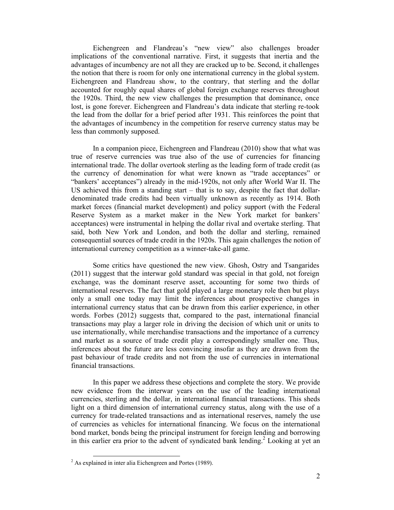Eichengreen and Flandreau's "new view" also challenges broader implications of the conventional narrative. First, it suggests that inertia and the advantages of incumbency are not all they are cracked up to be. Second, it challenges the notion that there is room for only one international currency in the global system. Eichengreen and Flandreau show, to the contrary, that sterling and the dollar accounted for roughly equal shares of global foreign exchange reserves throughout the 1920s. Third, the new view challenges the presumption that dominance, once lost, is gone forever. Eichengreen and Flandreau's data indicate that sterling re-took the lead from the dollar for a brief period after 1931. This reinforces the point that the advantages of incumbency in the competition for reserve currency status may be less than commonly supposed.

In a companion piece, Eichengreen and Flandreau (2010) show that what was true of reserve currencies was true also of the use of currencies for financing international trade. The dollar overtook sterling as the leading form of trade credit (as the currency of denomination for what were known as "trade acceptances" or "bankers' acceptances") already in the mid-1920s, not only after World War II. The US achieved this from a standing start – that is to say, despite the fact that dollardenominated trade credits had been virtually unknown as recently as 1914. Both market forces (financial market development) and policy support (with the Federal Reserve System as a market maker in the New York market for bankers' acceptances) were instrumental in helping the dollar rival and overtake sterling. That said, both New York and London, and both the dollar and sterling, remained consequential sources of trade credit in the 1920s. This again challenges the notion of international currency competition as a winner-take-all game.

Some critics have questioned the new view. Ghosh, Ostry and Tsangarides (2011) suggest that the interwar gold standard was special in that gold, not foreign exchange, was the dominant reserve asset, accounting for some two thirds of international reserves. The fact that gold played a large monetary role then but plays only a small one today may limit the inferences about prospective changes in international currency status that can be drawn from this earlier experience, in other words. Forbes (2012) suggests that, compared to the past, international financial transactions may play a larger role in driving the decision of which unit or units to use internationally, while merchandise transactions and the importance of a currency and market as a source of trade credit play a correspondingly smaller one. Thus, inferences about the future are less convincing insofar as they are drawn from the past behaviour of trade credits and not from the use of currencies in international financial transactions.

In this paper we address these objections and complete the story. We provide new evidence from the interwar years on the use of the leading international currencies, sterling and the dollar, in international financial transactions. This sheds light on a third dimension of international currency status, along with the use of a currency for trade-related transactions and as international reserves, namely the use of currencies as vehicles for international financing. We focus on the international bond market, bonds being the principal instrument for foreign lending and borrowing in this earlier era prior to the advent of syndicated bank lending.<sup>2</sup> Looking at yet an

<sup>&</sup>lt;sup>2</sup> As explained in inter alia Eichengreen and Portes (1989).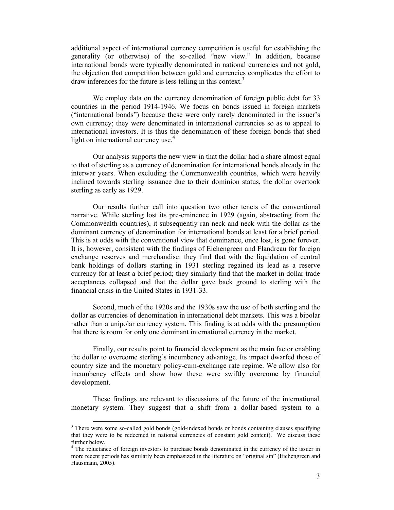additional aspect of international currency competition is useful for establishing the generality (or otherwise) of the so-called "new view." In addition, because international bonds were typically denominated in national currencies and not gold, the objection that competition between gold and currencies complicates the effort to draw inferences for the future is less telling in this context. $3$ 

We employ data on the currency denomination of foreign public debt for 33 countries in the period 1914-1946. We focus on bonds issued in foreign markets ("international bonds") because these were only rarely denominated in the issuer's own currency; they were denominated in international currencies so as to appeal to international investors. It is thus the denomination of these foreign bonds that shed light on international currency use.<sup>4</sup>

Our analysis supports the new view in that the dollar had a share almost equal to that of sterling as a currency of denomination for international bonds already in the interwar years. When excluding the Commonwealth countries, which were heavily inclined towards sterling issuance due to their dominion status, the dollar overtook sterling as early as 1929.

Our results further call into question two other tenets of the conventional narrative. While sterling lost its pre-eminence in 1929 (again, abstracting from the Commonwealth countries), it subsequently ran neck and neck with the dollar as the dominant currency of denomination for international bonds at least for a brief period. This is at odds with the conventional view that dominance, once lost, is gone forever. It is, however, consistent with the findings of Eichengreen and Flandreau for foreign exchange reserves and merchandise: they find that with the liquidation of central bank holdings of dollars starting in 1931 sterling regained its lead as a reserve currency for at least a brief period; they similarly find that the market in dollar trade acceptances collapsed and that the dollar gave back ground to sterling with the financial crisis in the United States in 1931-33.

Second, much of the 1920s and the 1930s saw the use of both sterling and the dollar as currencies of denomination in international debt markets. This was a bipolar rather than a unipolar currency system. This finding is at odds with the presumption that there is room for only one dominant international currency in the market.

Finally, our results point to financial development as the main factor enabling the dollar to overcome sterling's incumbency advantage. Its impact dwarfed those of country size and the monetary policy-cum-exchange rate regime. We allow also for incumbency effects and show how these were swiftly overcome by financial development.

These findings are relevant to discussions of the future of the international monetary system. They suggest that a shift from a dollar-based system to a

<sup>&</sup>lt;sup>3</sup> There were some so-called gold bonds (gold-indexed bonds or bonds containing clauses specifying that they were to be redeemed in national currencies of constant gold content). We discuss these further below.

<sup>&</sup>lt;sup>4</sup> The reluctance of foreign investors to purchase bonds denominated in the currency of the issuer in more recent periods has similarly been emphasized in the literature on "original sin" (Eichengreen and Hausmann, 2005).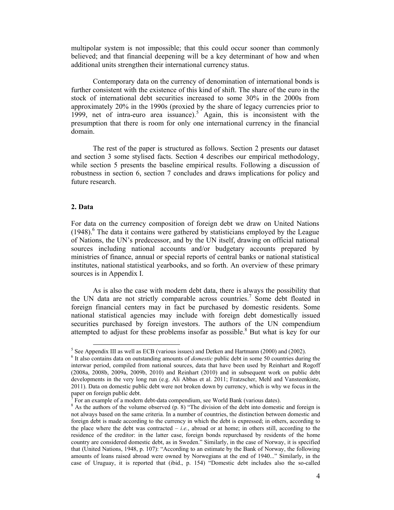multipolar system is not impossible; that this could occur sooner than commonly believed; and that financial deepening will be a key determinant of how and when additional units strengthen their international currency status.

Contemporary data on the currency of denomination of international bonds is further consistent with the existence of this kind of shift. The share of the euro in the stock of international debt securities increased to some 30% in the 2000s from approximately 20% in the 1990s (proxied by the share of legacy currencies prior to 1999, net of intra-euro area issuance).<sup>5</sup> Again, this is inconsistent with the presumption that there is room for only one international currency in the financial domain.

The rest of the paper is structured as follows. Section 2 presents our dataset and section 3 some stylised facts. Section 4 describes our empirical methodology, while section 5 presents the baseline empirical results. Following a discussion of robustness in section 6, section 7 concludes and draws implications for policy and future research.

#### **2. Data**

For data on the currency composition of foreign debt we draw on United Nations (1948).<sup>6</sup> The data it contains were gathered by statisticians employed by the League of Nations, the UN's predecessor, and by the UN itself, drawing on official national sources including national accounts and/or budgetary accounts prepared by ministries of finance, annual or special reports of central banks or national statistical institutes, national statistical yearbooks, and so forth. An overview of these primary sources is in Appendix I.

As is also the case with modern debt data, there is always the possibility that the UN data are not strictly comparable across countries.<sup>7</sup> Some debt floated in foreign financial centers may in fact be purchased by domestic residents. Some national statistical agencies may include with foreign debt domestically issued securities purchased by foreign investors. The authors of the UN compendium attempted to adjust for these problems insofar as possible.<sup>8</sup> But what is key for our

<sup>&</sup>lt;sup>5</sup> See Appendix III as well as ECB (various issues) and Detken and Hartmann (2000) and (2002).

<sup>&</sup>lt;sup>6</sup> It also contains data on outstanding amounts of *domestic* public debt in some 50 countries during the interwar period, compiled from national sources, data that have been used by Reinhart and Rogoff (2008a, 2008b, 2009a, 2009b, 2010) and Reinhart (2010) and in subsequent work on public debt developments in the very long run (e.g. Ali Abbas et al. 2011; Fratzscher, Mehl and Vansteenkiste, 2011). Data on domestic public debt were not broken down by currency, which is why we focus in the paper on foreign public debt.

 $\bar{7}$  For an example of a modern debt-data compendium, see World Bank (various dates).

 $8$  As the authors of the volume observed (p. 8) "The division of the debt into domestic and foreign is not always based on the same criteria. In a number of countries, the distinction between domestic and foreign debt is made according to the currency in which the debt is expressed; in others, according to the place where the debt was contracted  $- i.e.,$  abroad or at home; in others still, according to the residence of the creditor: in the latter case, foreign bonds repurchased by residents of the home country are considered domestic debt, as in Sweden." Similarly, in the case of Norway, it is specified that (United Nations, 1948, p. 107): "According to an estimate by the Bank of Norway, the following amounts of loans raised abroad were owned by Norwegians at the end of 1940..." Similarly, in the case of Uruguay, it is reported that (ibid., p. 154) "Domestic debt includes also the so-called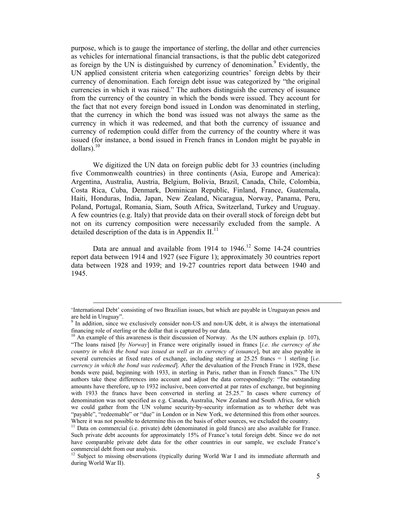purpose, which is to gauge the importance of sterling, the dollar and other currencies as vehicles for international financial transactions, is that the public debt categorized as foreign by the UN is distinguished by currency of denomination.<sup>9</sup> Evidently, the UN applied consistent criteria when categorizing countries' foreign debts by their currency of denomination. Each foreign debt issue was categorized by "the original currencies in which it was raised." The authors distinguish the currency of issuance from the currency of the country in which the bonds were issued. They account for the fact that not every foreign bond issued in London was denominated in sterling, that the currency in which the bond was issued was not always the same as the currency in which it was redeemed, and that both the currency of issuance and currency of redemption could differ from the currency of the country where it was issued (for instance, a bond issued in French francs in London might be payable in  $dollars).$ <sup>10</sup>

We digitized the UN data on foreign public debt for 33 countries (including five Commonwealth countries) in three continents (Asia, Europe and America): Argentina, Australia, Austria, Belgium, Bolivia, Brazil, Canada, Chile, Colombia, Costa Rica, Cuba, Denmark, Dominican Republic, Finland, France, Guatemala, Haiti, Honduras, India, Japan, New Zealand, Nicaragua, Norway, Panama, Peru, Poland, Portugal, Romania, Siam, South Africa, Switzerland, Turkey and Uruguay. A few countries (e.g. Italy) that provide data on their overall stock of foreign debt but not on its currency composition were necessarily excluded from the sample. A detailed description of the data is in Appendix  $II$ .<sup>11</sup>

Data are annual and available from 1914 to 1946.<sup>12</sup> Some 14-24 countries report data between 1914 and 1927 (see Figure 1); approximately 30 countries report data between 1928 and 1939; and 19-27 countries report data between 1940 and 1945.

 <sup>&#</sup>x27;International Debt' consisting of two Brazilian issues, but which are payable in Uruguayan pesos and are held in Uruguay".

<sup>&</sup>lt;sup>9</sup> In addition, since we exclusively consider non-US and non-UK debt, it is always the international financing role of sterling or the dollar that is captured by our data.

 $10$  An example of this awareness is their discussion of Norway. As the UN authors explain (p. 107), "The loans raised [*by Norway*] in France were originally issued in francs [*i.e. the currency of the country in which the bond was issued as well as its currency of issuance*], but are also payable in several currencies at fixed rates of exchange, including sterling at 25.25 francs = 1 sterling [i*.e. currency in which the bond was redeemed*]. After the devaluation of the French Franc in 1928, these bonds were paid, beginning with 1933, in sterling in Paris, rather than in French francs." The UN authors take these differences into account and adjust the data correspondingly: "The outstanding amounts have therefore, up to 1932 inclusive, been converted at par rates of exchange, but beginning with 1933 the francs have been converted in sterling at 25.25." In cases where currency of denomination was not specified as e.g. Canada, Australia, New Zealand and South Africa, for which we could gather from the UN volume security-by-security information as to whether debt was "payable", "redeemable" or "due" in London or in New York, we determined this from other sources. Where it was not possible to determine this on the basis of other sources, we excluded the country.

<sup>&</sup>lt;sup>11</sup> Data on commercial (i.e. private) debt (denominated in gold francs) are also available for France. Such private debt accounts for approximately 15% of France's total foreign debt. Since we do not have comparable private debt data for the other countries in our sample, we exclude France's commercial debt from our analysis.

 $12$  Subject to missing observations (typically during World War I and its immediate aftermath and during World War II).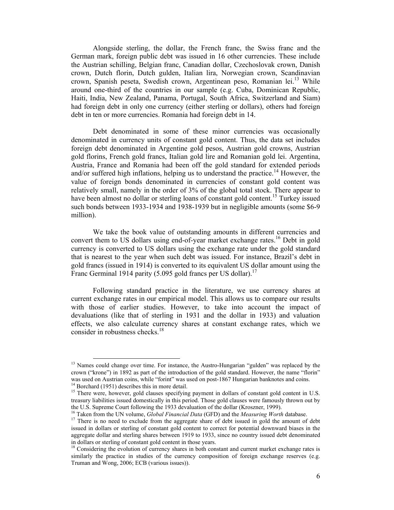Alongside sterling, the dollar, the French franc, the Swiss franc and the German mark, foreign public debt was issued in 16 other currencies. These include the Austrian schilling, Belgian franc, Canadian dollar, Czechoslovak crown, Danish crown, Dutch florin, Dutch gulden, Italian lira, Norwegian crown, Scandinavian crown, Spanish peseta, Swedish crown, Argentinean peso, Romanian lei.<sup>13</sup> While around one-third of the countries in our sample (e.g. Cuba, Dominican Republic, Haiti, India, New Zealand, Panama, Portugal, South Africa, Switzerland and Siam) had foreign debt in only one currency (either sterling or dollars), others had foreign debt in ten or more currencies. Romania had foreign debt in 14.

Debt denominated in some of these minor currencies was occasionally denominated in currency units of constant gold content. Thus, the data set includes foreign debt denominated in Argentine gold pesos, Austrian gold crowns, Austrian gold florins, French gold francs, Italian gold lire and Romanian gold lei. Argentina, Austria, France and Romania had been off the gold standard for extended periods and/or suffered high inflations, helping us to understand the practice.<sup>14</sup> However, the value of foreign bonds denominated in currencies of constant gold content was relatively small, namely in the order of 3% of the global total stock. There appear to have been almost no dollar or sterling loans of constant gold content.<sup>15</sup> Turkey issued such bonds between 1933-1934 and 1938-1939 but in negligible amounts (some \$6-9 million).

We take the book value of outstanding amounts in different currencies and convert them to US dollars using end-of-year market exchange rates.<sup>16</sup> Debt in gold currency is converted to US dollars using the exchange rate under the gold standard that is nearest to the year when such debt was issued. For instance, Brazil's debt in gold francs (issued in 1914) is converted to its equivalent US dollar amount using the Franc Germinal 1914 parity (5.095 gold francs per US dollar).<sup>17</sup>

Following standard practice in the literature, we use currency shares at current exchange rates in our empirical model. This allows us to compare our results with those of earlier studies. However, to take into account the impact of devaluations (like that of sterling in 1931 and the dollar in 1933) and valuation effects, we also calculate currency shares at constant exchange rates, which we consider in robustness checks.<sup>18</sup>

<sup>&</sup>lt;sup>13</sup> Names could change over time. For instance, the Austro-Hungarian "gulden" was replaced by the crown ("krone") in 1892 as part of the introduction of the gold standard. However, the name "florin" was used on Austrian coins, while "forint" was used on post-1867 Hungarian banknotes and coins.<br><sup>14</sup> Borchard (1951) describes this in more detail.

<sup>&</sup>lt;sup>15</sup> There were, however, gold clauses specifying payment in dollars of constant gold content in U.S. treasury liabilities issued domestically in this period. Those gold clauses were famously thrown out by the U.S. Supreme Court following the 1933 devaluation of the dollar (Kroszner, 1999).<br><sup>16</sup> Taken from the UN volume, *Global Financial Data* (GFD) and the *Measuring Worth* database.

<sup>&</sup>lt;sup>17</sup> There is no need to exclude from the aggregate share of debt issued in gold the amount of debt issued in dollars or sterling of constant gold content to correct for potential downward biases in the aggregate dollar and sterling shares between 1919 to 1933, since no country issued debt denominated in dollars or sterling of constant gold content in those years.

<sup>&</sup>lt;sup>18</sup> Considering the evolution of currency shares in both constant and current market exchange rates is similarly the practice in studies of the currency composition of foreign exchange reserves (e.g. Truman and Wong, 2006; ECB (various issues)).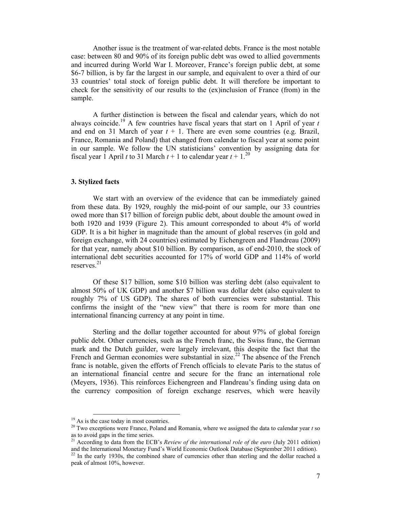Another issue is the treatment of war-related debts. France is the most notable case: between 80 and 90% of its foreign public debt was owed to allied governments and incurred during World War I. Moreover, France's foreign public debt, at some \$6-7 billion, is by far the largest in our sample, and equivalent to over a third of our 33 countries' total stock of foreign public debt. It will therefore be important to check for the sensitivity of our results to the (ex)inclusion of France (from) in the sample.

A further distinction is between the fiscal and calendar years, which do not always coincide.<sup>19</sup> A few countries have fiscal years that start on 1 April of year  $t$ and end on 31 March of year  $t + 1$ . There are even some countries (e.g. Brazil, France, Romania and Poland) that changed from calendar to fiscal year at some point in our sample. We follow the UN statisticians' convention by assigning data for fiscal year 1 April *t* to 31 March  $t + 1$  to calendar year  $t + 1$ .<sup>20</sup>

### **3. Stylized facts**

We start with an overview of the evidence that can be immediately gained from these data. By 1929, roughly the mid-point of our sample, our 33 countries owed more than \$17 billion of foreign public debt, about double the amount owed in both 1920 and 1939 (Figure 2). This amount corresponded to about 4% of world GDP. It is a bit higher in magnitude than the amount of global reserves (in gold and foreign exchange, with 24 countries) estimated by Eichengreen and Flandreau (2009) for that year, namely about \$10 billion. By comparison, as of end-2010, the stock of international debt securities accounted for 17% of world GDP and 114% of world reserves. $21$ 

Of these \$17 billion, some \$10 billion was sterling debt (also equivalent to almost 50% of UK GDP) and another \$7 billion was dollar debt (also equivalent to roughly 7% of US GDP). The shares of both currencies were substantial. This confirms the insight of the "new view" that there is room for more than one international financing currency at any point in time.

Sterling and the dollar together accounted for about 97% of global foreign public debt. Other currencies, such as the French franc, the Swiss franc, the German mark and the Dutch guilder, were largely irrelevant, this despite the fact that the French and German economies were substantial in size.<sup>22</sup> The absence of the French franc is notable, given the efforts of French officials to elevate Paris to the status of an international financial centre and secure for the franc an international role (Meyers, 1936). This reinforces Eichengreen and Flandreau's finding using data on the currency composition of foreign exchange reserves, which were heavily

 $19$  As is the case today in most countries.

<sup>20</sup> Two exceptions were France, Poland and Romania, where we assigned the data to calendar year *t* so as to avoid gaps in the time series.

<sup>&</sup>lt;sup>21</sup> According to data from the ECB's *Review of the international role of the euro* (July 2011 edition) and the International Monetary Fund's World Economic Outlook Database (September 2011 edition).

 $22$  In the early 1930s, the combined share of currencies other than sterling and the dollar reached a peak of almost 10%, however.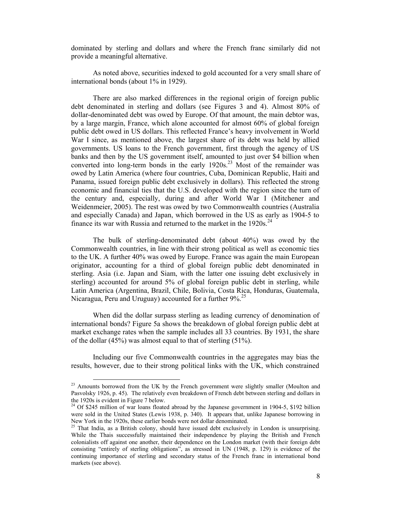dominated by sterling and dollars and where the French franc similarly did not provide a meaningful alternative.

As noted above, securities indexed to gold accounted for a very small share of international bonds (about 1% in 1929).

There are also marked differences in the regional origin of foreign public debt denominated in sterling and dollars (see Figures 3 and 4). Almost 80% of dollar-denominated debt was owed by Europe. Of that amount, the main debtor was, by a large margin, France, which alone accounted for almost 60% of global foreign public debt owed in US dollars. This reflected France's heavy involvement in World War I since, as mentioned above, the largest share of its debt was held by allied governments. US loans to the French government, first through the agency of US banks and then by the US government itself, amounted to just over \$4 billion when converted into long-term bonds in the early  $1920s<sup>23</sup>$  Most of the remainder was owed by Latin America (where four countries, Cuba, Dominican Republic, Haiti and Panama, issued foreign public debt exclusively in dollars). This reflected the strong economic and financial ties that the U.S. developed with the region since the turn of the century and, especially, during and after World War I (Mitchener and Weidenmeier, 2005). The rest was owed by two Commonwealth countries (Australia and especially Canada) and Japan, which borrowed in the US as early as 1904-5 to finance its war with Russia and returned to the market in the  $1920s$ .<sup>24</sup>

The bulk of sterling-denominated debt (about 40%) was owed by the Commonwealth countries, in line with their strong political as well as economic ties to the UK. A further 40% was owed by Europe. France was again the main European originator, accounting for a third of global foreign public debt denominated in sterling. Asia (i.e. Japan and Siam, with the latter one issuing debt exclusively in sterling) accounted for around 5% of global foreign public debt in sterling, while Latin America (Argentina, Brazil, Chile, Bolivia, Costa Rica, Honduras, Guatemala, Nicaragua, Peru and Uruguay) accounted for a further  $9\%$ <sup>25</sup>

When did the dollar surpass sterling as leading currency of denomination of international bonds? Figure 5a shows the breakdown of global foreign public debt at market exchange rates when the sample includes all 33 countries. By 1931, the share of the dollar (45%) was almost equal to that of sterling (51%).

Including our five Commonwealth countries in the aggregates may bias the results, however, due to their strong political links with the UK, which constrained

<sup>&</sup>lt;sup>23</sup> Amounts borrowed from the UK by the French government were slightly smaller (Moulton and Pasvolsky 1926, p. 45). The relatively even breakdown of French debt between sterling and dollars in the 1920s is evident in Figure 7 below.

<sup>&</sup>lt;sup>24</sup> Of \$245 million of war loans floated abroad by the Japanese government in 1904-5, \$192 billion were sold in the United States (Lewis 1938, p. 340). It appears that, unlike Japanese borrowing in New York in the 1920s, these earlier bonds were not dollar denominated.

<sup>&</sup>lt;sup>25</sup> That India, as a British colony, should have issued debt exclusively in London is unsurprising. While the Thais successfully maintained their independence by playing the British and French colonialists off against one another, their dependence on the London market (with their foreign debt consisting "entirely of sterling obligations", as stressed in UN (1948, p. 129) is evidence of the continuing importance of sterling and secondary status of the French franc in international bond markets (see above).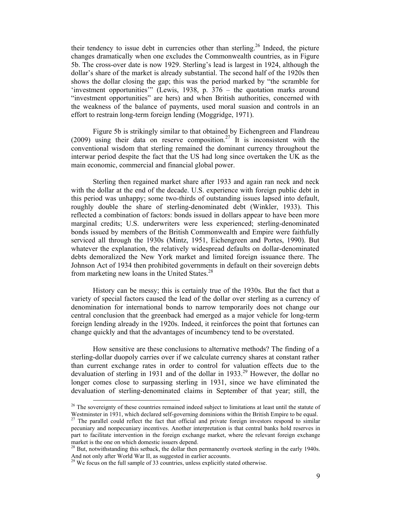their tendency to issue debt in currencies other than sterling.<sup>26</sup> Indeed, the picture changes dramatically when one excludes the Commonwealth countries, as in Figure 5b. The cross-over date is now 1929. Sterling's lead is largest in 1924, although the dollar's share of the market is already substantial. The second half of the 1920s then shows the dollar closing the gap; this was the period marked by "the scramble for 'investment opportunities'" (Lewis, 1938, p. 376 – the quotation marks around "investment opportunities" are hers) and when British authorities, concerned with the weakness of the balance of payments, used moral suasion and controls in an effort to restrain long-term foreign lending (Moggridge, 1971).

Figure 5b is strikingly similar to that obtained by Eichengreen and Flandreau (2009) using their data on reserve composition.<sup>27</sup> It is inconsistent with the conventional wisdom that sterling remained the dominant currency throughout the interwar period despite the fact that the US had long since overtaken the UK as the main economic, commercial and financial global power.

Sterling then regained market share after 1933 and again ran neck and neck with the dollar at the end of the decade. U.S. experience with foreign public debt in this period was unhappy; some two-thirds of outstanding issues lapsed into default, roughly double the share of sterling-denominated debt (Winkler, 1933). This reflected a combination of factors: bonds issued in dollars appear to have been more marginal credits; U.S. underwriters were less experienced; sterling-denominated bonds issued by members of the British Commonwealth and Empire were faithfully serviced all through the 1930s (Mintz, 1951, Eichengreen and Portes, 1990). But whatever the explanation, the relatively widespread defaults on dollar-denominated debts demoralized the New York market and limited foreign issuance there. The Johnson Act of 1934 then prohibited governments in default on their sovereign debts from marketing new loans in the United States. $28$ 

History can be messy; this is certainly true of the 1930s. But the fact that a variety of special factors caused the lead of the dollar over sterling as a currency of denomination for international bonds to narrow temporarily does not change our central conclusion that the greenback had emerged as a major vehicle for long-term foreign lending already in the 1920s. Indeed, it reinforces the point that fortunes can change quickly and that the advantages of incumbency tend to be overstated.

How sensitive are these conclusions to alternative methods? The finding of a sterling-dollar duopoly carries over if we calculate currency shares at constant rather than current exchange rates in order to control for valuation effects due to the devaluation of sterling in 1931 and of the dollar in  $1933<sup>29</sup>$  However, the dollar no longer comes close to surpassing sterling in 1931, since we have eliminated the devaluation of sterling-denominated claims in September of that year; still, the

<sup>&</sup>lt;sup>26</sup> The sovereignty of these countries remained indeed subject to limitations at least until the statute of Westminster in 1931, which declared self-governing dominions within the British Empire to be equal.

<sup>&</sup>lt;sup>27</sup> The parallel could reflect the fact that official and private foreign investors respond to similar pecuniary and nonpecuniary incentives. Another interpretation is that central banks hold reserves in part to facilitate intervention in the foreign exchange market, where the relevant foreign exchange market is the one on which domestic issuers depend.

<sup>&</sup>lt;sup>28</sup> But, notwithstanding this setback, the dollar then permanently overtook sterling in the early 1940s. And not only after World War II, as suggested in earlier accounts.

<sup>&</sup>lt;sup>29</sup> We focus on the full sample of 33 countries, unless explicitly stated otherwise.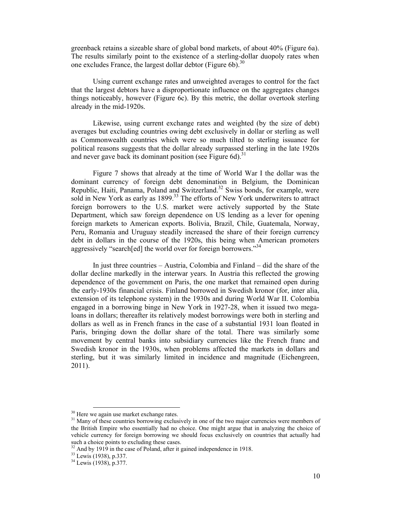greenback retains a sizeable share of global bond markets, of about 40% (Figure 6a). The results similarly point to the existence of a sterling-dollar duopoly rates when one excludes France, the largest dollar debtor (Figure 6b). $^{30}$ 

Using current exchange rates and unweighted averages to control for the fact that the largest debtors have a disproportionate influence on the aggregates changes things noticeably, however (Figure 6c). By this metric, the dollar overtook sterling already in the mid-1920s.

Likewise, using current exchange rates and weighted (by the size of debt) averages but excluding countries owing debt exclusively in dollar or sterling as well as Commonwealth countries which were so much tilted to sterling issuance for political reasons suggests that the dollar already surpassed sterling in the late 1920s and never gave back its dominant position (see Figure 6d).<sup>31</sup>

Figure 7 shows that already at the time of World War I the dollar was the dominant currency of foreign debt denomination in Belgium, the Dominican Republic, Haiti, Panama, Poland and Switzerland.<sup>32</sup> Swiss bonds, for example, were sold in New York as early as 1899.<sup>33</sup> The efforts of New York underwriters to attract foreign borrowers to the U.S. market were actively supported by the State Department, which saw foreign dependence on US lending as a lever for opening foreign markets to American exports. Bolivia, Brazil, Chile, Guatemala, Norway, Peru, Romania and Uruguay steadily increased the share of their foreign currency debt in dollars in the course of the 1920s, this being when American promoters aggressively "search[ed] the world over for foreign borrowers."<sup>34</sup>

In just three countries – Austria, Colombia and Finland – did the share of the dollar decline markedly in the interwar years. In Austria this reflected the growing dependence of the government on Paris, the one market that remained open during the early-1930s financial crisis. Finland borrowed in Swedish kronor (for, inter alia, extension of its telephone system) in the 1930s and during World War II. Colombia engaged in a borrowing binge in New York in 1927-28, when it issued two megaloans in dollars; thereafter its relatively modest borrowings were both in sterling and dollars as well as in French francs in the case of a substantial 1931 loan floated in Paris, bringing down the dollar share of the total. There was similarly some movement by central banks into subsidiary currencies like the French franc and Swedish kronor in the 1930s, when problems affected the markets in dollars and sterling, but it was similarly limited in incidence and magnitude (Eichengreen, 2011).

<sup>&</sup>lt;sup>30</sup> Here we again use market exchange rates.

<sup>&</sup>lt;sup>31</sup> Many of these countries borrowing exclusively in one of the two major currencies were members of the British Empire who essentially had no choice. One might argue that in analyzing the choice of vehicle currency for foreign borrowing we should focus exclusively on countries that actually had such a choice points to excluding these cases.

<sup>32</sup> And by 1919 in the case of Poland, after it gained independence in 1918.

 $33$  Lewis (1938), p.337.

<sup>34</sup> Lewis (1938), p.377.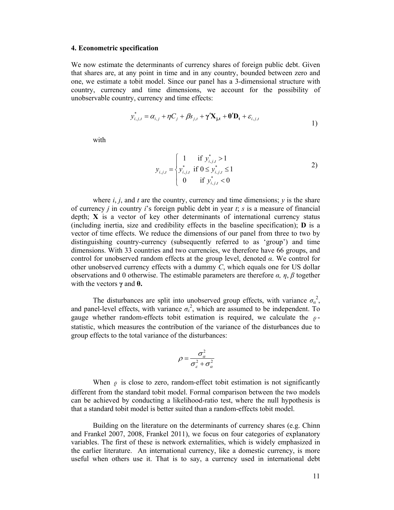#### **4. Econometric specification**

We now estimate the determinants of currency shares of foreign public debt. Given that shares are, at any point in time and in any country, bounded between zero and one, we estimate a tobit model. Since our panel has a 3-dimensional structure with country, currency and time dimensions, we account for the possibility of unobservable country, currency and time effects:

$$
y_{i,j,t}^* = \alpha_{i,j} + \eta C_j + \beta s_{j,t} + \gamma' \mathbf{X}_{j,t} + \mathbf{\theta}' \mathbf{D}_t + \varepsilon_{i,j,t}
$$
 (1)

with

$$
y_{i,j,t} = \begin{cases} 1 & \text{if } y_{i,j,t}^* > 1 \\ y_{i,j,t}^* & \text{if } 0 \le y_{i,j,t}^* \le 1 \\ 0 & \text{if } y_{i,j,t}^* < 0 \end{cases}
$$
 2)

where  $i, j$ , and  $t$  are the country, currency and time dimensions;  $y$  is the share of currency *j* in country *i*'s foreign public debt in year *t*; *s* is a measure of financial depth; **X** is a vector of key other determinants of international currency status (including inertia, size and credibility effects in the baseline specification); **D** is a vector of time effects. We reduce the dimensions of our panel from three to two by distinguishing country-currency (subsequently referred to as 'group') and time dimensions. With 33 countries and two currencies, we therefore have 66 groups, and control for unobserved random effects at the group level, denoted *α*. We control for other unobserved currency effects with a dummy *C*, which equals one for US dollar observations and 0 otherwise. The estimable parameters are therefore *α, η*, *β* together with the vectors **γ** and **θ.** 

The disturbances are split into unobserved group effects, with variance  $\sigma_a^2$ , and panel-level effects, with variance  $\sigma_{\varepsilon}^2$ , which are assumed to be independent. To gauge whether random-effects tobit estimation is required, we calculate the *ρ* statistic, which measures the contribution of the variance of the disturbances due to group effects to the total variance of the disturbances:

$$
\rho = \frac{\sigma_{\alpha}^2}{\sigma_{\varepsilon}^2 + \sigma_{\alpha}^2}
$$

When  $\rho$  is close to zero, random-effect tobit estimation is not significantly different from the standard tobit model. Formal comparison between the two models can be achieved by conducting a likelihood-ratio test, where the null hypothesis is that a standard tobit model is better suited than a random-effects tobit model.

Building on the literature on the determinants of currency shares (e.g. Chinn and Frankel 2007, 2008, Frankel 2011), we focus on four categories of explanatory variables. The first of these is network externalities, which is widely emphasized in the earlier literature. An international currency, like a domestic currency, is more useful when others use it. That is to say, a currency used in international debt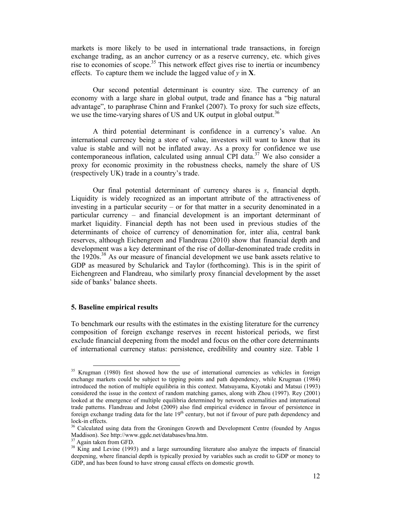markets is more likely to be used in international trade transactions, in foreign exchange trading, as an anchor currency or as a reserve currency, etc. which gives rise to economies of scope.<sup>35</sup> This network effect gives rise to inertia or incumbency effects. To capture them we include the lagged value of  $y$  in  $X$ .

Our second potential determinant is country size. The currency of an economy with a large share in global output, trade and finance has a "big natural advantage", to paraphrase Chinn and Frankel (2007). To proxy for such size effects, we use the time-varying shares of US and UK output in global output.<sup>36</sup>

A third potential determinant is confidence in a currency's value. An international currency being a store of value, investors will want to know that its value is stable and will not be inflated away. As a proxy for confidence we use contemporaneous inflation, calculated using annual CPI data.<sup>37</sup> We also consider a proxy for economic proximity in the robustness checks, namely the share of US (respectively UK) trade in a country's trade.

Our final potential determinant of currency shares is *s*, financial depth. Liquidity is widely recognized as an important attribute of the attractiveness of investing in a particular security – or for that matter in a security denominated in a particular currency – and financial development is an important determinant of market liquidity. Financial depth has not been used in previous studies of the determinants of choice of currency of denomination for, inter alia, central bank reserves, although Eichengreen and Flandreau (2010) show that financial depth and development was a key determinant of the rise of dollar-denominated trade credits in the  $1920s$ .<sup>38</sup> As our measure of financial development we use bank assets relative to GDP as measured by Schularick and Taylor (forthcoming). This is in the spirit of Eichengreen and Flandreau, who similarly proxy financial development by the asset side of banks' balance sheets.

#### **5. Baseline empirical results**

To benchmark our results with the estimates in the existing literature for the currency composition of foreign exchange reserves in recent historical periods, we first exclude financial deepening from the model and focus on the other core determinants of international currency status: persistence, credibility and country size. Table 1

<sup>&</sup>lt;sup>35</sup> Krugman (1980) first showed how the use of international currencies as vehicles in foreign exchange markets could be subject to tipping points and path dependency, while Krugman (1984) introduced the notion of multiple equilibria in this context. Matsuyama, Kiyotaki and Matsui (1993) considered the issue in the context of random matching games, along with Zhou (1997). Rey (2001) looked at the emergence of multiple equilibria determined by network externalities and international trade patterns. Flandreau and Jobst (2009) also find empirical evidence in favour of persistence in foreign exchange trading data for the late 19<sup>th</sup> century, but not if favour of pure path dependency and lock-in effects.

<sup>&</sup>lt;sup>36</sup> Calculated using data from the Groningen Growth and Development Centre (founded by Angus Maddison). See http://www.ggdc.net/databases/hna.htm. <sup>37</sup> Again taken from GFD.

<sup>&</sup>lt;sup>38</sup> King and Levine (1993) and a large surrounding literature also analyze the impacts of financial deepening, where financial depth is typically proxied by variables such as credit to GDP or money to GDP, and has been found to have strong causal effects on domestic growth.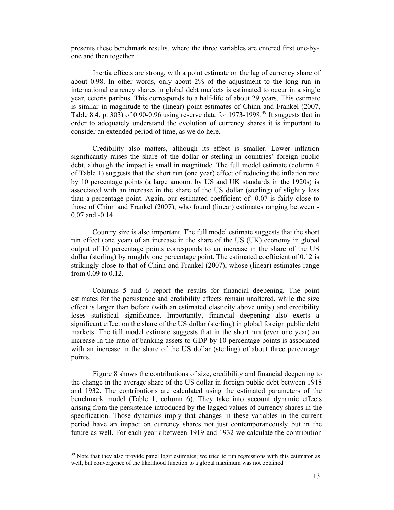presents these benchmark results, where the three variables are entered first one-byone and then together.

Inertia effects are strong, with a point estimate on the lag of currency share of about 0.98. In other words, only about 2% of the adjustment to the long run in international currency shares in global debt markets is estimated to occur in a single year, ceteris paribus. This corresponds to a half-life of about 29 years. This estimate is similar in magnitude to the (linear) point estimates of Chinn and Frankel (2007, Table 8.4, p. 303) of 0.90-0.96 using reserve data for 1973-1998.<sup>39</sup> It suggests that in order to adequately understand the evolution of currency shares it is important to consider an extended period of time, as we do here.

Credibility also matters, although its effect is smaller. Lower inflation significantly raises the share of the dollar or sterling in countries' foreign public debt, although the impact is small in magnitude. The full model estimate (column 4 of Table 1) suggests that the short run (one year) effect of reducing the inflation rate by 10 percentage points (a large amount by US and UK standards in the 1920s) is associated with an increase in the share of the US dollar (sterling) of slightly less than a percentage point. Again, our estimated coefficient of -0.07 is fairly close to those of Chinn and Frankel (2007), who found (linear) estimates ranging between - 0.07 and -0.14.

Country size is also important. The full model estimate suggests that the short run effect (one year) of an increase in the share of the US (UK) economy in global output of 10 percentage points corresponds to an increase in the share of the US dollar (sterling) by roughly one percentage point. The estimated coefficient of 0.12 is strikingly close to that of Chinn and Frankel (2007), whose (linear) estimates range from 0.09 to 0.12.

Columns 5 and 6 report the results for financial deepening. The point estimates for the persistence and credibility effects remain unaltered, while the size effect is larger than before (with an estimated elasticity above unity) and credibility loses statistical significance. Importantly, financial deepening also exerts a significant effect on the share of the US dollar (sterling) in global foreign public debt markets. The full model estimate suggests that in the short run (over one year) an increase in the ratio of banking assets to GDP by 10 percentage points is associated with an increase in the share of the US dollar (sterling) of about three percentage points.

Figure 8 shows the contributions of size, credibility and financial deepening to the change in the average share of the US dollar in foreign public debt between 1918 and 1932. The contributions are calculated using the estimated parameters of the benchmark model (Table 1, column 6). They take into account dynamic effects arising from the persistence introduced by the lagged values of currency shares in the specification. Those dynamics imply that changes in these variables in the current period have an impact on currency shares not just contemporaneously but in the future as well. For each year *t* between 1919 and 1932 we calculate the contribution

 $39$  Note that they also provide panel logit estimates; we tried to run regressions with this estimator as well, but convergence of the likelihood function to a global maximum was not obtained.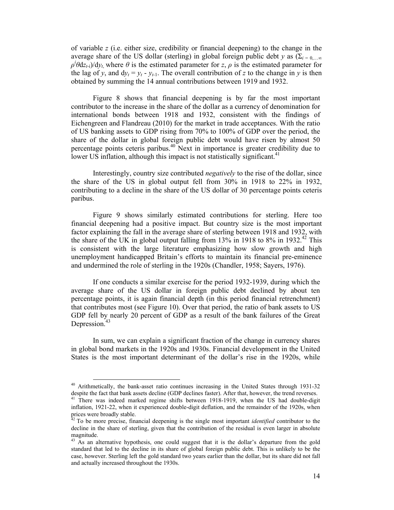of variable *z* (i.e. either size, credibility or financial deepening) to the change in the average share of the US dollar (sterling) in global foreign public debt *y* as  $(\Sigma_{i=0,...\infty})$  $\rho^i \theta dz_{t,i}$ )/dy<sub>t</sub>, where  $\theta$  is the estimated parameter for *z*,  $\rho$  is the estimated parameter for the lag of *y*, and  $dy_t = y_t - y_{t-1}$ . The overall contribution of *z* to the change in *y* is then obtained by summing the 14 annual contributions between 1919 and 1932.

Figure 8 shows that financial deepening is by far the most important contributor to the increase in the share of the dollar as a currency of denomination for international bonds between 1918 and 1932, consistent with the findings of Eichengreen and Flandreau (2010) for the market in trade acceptances. With the ratio of US banking assets to GDP rising from 70% to 100% of GDP over the period, the share of the dollar in global foreign public debt would have risen by almost 50 percentage points ceteris paribus.40 Next in importance is greater credibility due to lower US inflation, although this impact is not statistically significant.<sup>41</sup>

Interestingly, country size contributed *negatively* to the rise of the dollar, since the share of the US in global output fell from 30% in 1918 to 22% in 1932, contributing to a decline in the share of the US dollar of 30 percentage points ceteris paribus.

Figure 9 shows similarly estimated contributions for sterling. Here too financial deepening had a positive impact. But country size is the most important factor explaining the fall in the average share of sterling between 1918 and 1932, with the share of the UK in global output falling from  $13\%$  in 1918 to 8% in 1932.<sup>42</sup> This is consistent with the large literature emphasizing how slow growth and high unemployment handicapped Britain's efforts to maintain its financial pre-eminence and undermined the role of sterling in the 1920s (Chandler, 1958; Sayers, 1976).

If one conducts a similar exercise for the period 1932-1939, during which the average share of the US dollar in foreign public debt declined by about ten percentage points, it is again financial depth (in this period financial retrenchment) that contributes most (see Figure 10). Over that period, the ratio of bank assets to US GDP fell by nearly 20 percent of GDP as a result of the bank failures of the Great Depression.<sup>43</sup>

In sum, we can explain a significant fraction of the change in currency shares in global bond markets in the 1920s and 1930s. Financial development in the United States is the most important determinant of the dollar's rise in the 1920s, while

<sup>&</sup>lt;sup>40</sup> Arithmetically, the bank-asset ratio continues increasing in the United States through 1931-32 despite the fact that bank assets decline (GDP declines faster). After that, however, the trend reverses.

<sup>&</sup>lt;sup>41</sup> There was indeed marked regime shifts between 1918-1919, when the US had double-digit inflation, 1921-22, when it experienced double-digit deflation, and the remainder of the 1920s, when prices were broadly stable.

<sup>42</sup> To be more precise, financial deepening is the single most important *identified* contributor to the decline in the share of sterling, given that the contribution of the residual is even larger in absolute magnitude.

<sup>&</sup>lt;sup>43</sup> As an alternative hypothesis, one could suggest that it is the dollar's departure from the gold standard that led to the decline in its share of global foreign public debt. This is unlikely to be the case, however. Sterling left the gold standard two years earlier than the dollar, but its share did not fall and actually increased throughout the 1930s.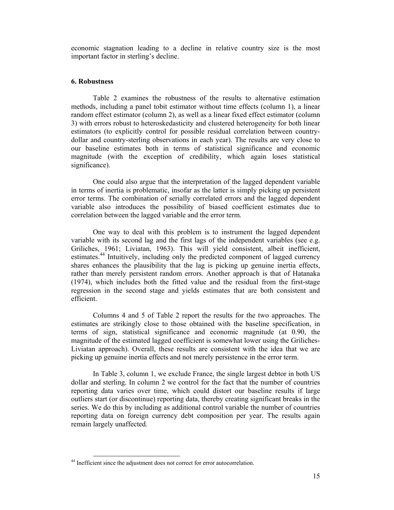economic stagnation leading to a decline in relative country size is the most important factor in sterling's decline.

#### **6. Robustness**

Table 2 examines the robustness of the results to alternative estimation methods, including a panel tobit estimator without time effects (column 1), a linear random effect estimator (column 2), as well as a linear fixed effect estimator (column 3) with errors robust to heteroskedasticity and clustered heterogeneity for both linear estimators (to explicitly control for possible residual correlation between countrydollar and country-sterling observations in each year). The results are very close to our baseline estimates both in terms of statistical significance and economic magnitude (with the exception of credibility, which again loses statistical significance).

One could also argue that the interpretation of the lagged dependent variable in terms of inertia is problematic, insofar as the latter is simply picking up persistent error terms. The combination of serially correlated errors and the lagged dependent variable also introduces the possibility of biased coefficient estimates due to correlation between the lagged variable and the error term.

One way to deal with this problem is to instrument the lagged dependent variable with its second lag and the first lags of the independent variables (see e.g. Griliches, 1961; Liviatan, 1963). This will yield consistent, albeit inefficient, estimates.<sup>44</sup> Intuitively, including only the predicted component of lagged currency shares enhances the plausibility that the lag is picking up genuine inertia effects, rather than merely persistent random errors. Another approach is that of Hatanaka (1974), which includes both the fitted value and the residual from the first-stage regression in the second stage and yields estimates that are both consistent and efficient.

Columns 4 and 5 of Table 2 report the results for the two approaches. The estimates are strikingly close to those obtained with the baseline specification, in terms of sign, statistical significance and economic magnitude (at 0.90, the magnitude of the estimated lagged coefficient is somewhat lower using the Griliches-Liviatan approach). Overall, these results are consistent with the idea that we are picking up genuine inertia effects and not merely persistence in the error term.

In Table 3, column 1, we exclude France, the single largest debtor in both US dollar and sterling. In column 2 we control for the fact that the number of countries reporting data varies over time, which could distort our baseline results if large outliers start (or discontinue) reporting data, thereby creating significant breaks in the series. We do this by including as additional control variable the number of countries reporting data on foreign currency debt composition per year. The results again remain largely unaffected.

<sup>&</sup>lt;sup>44</sup> Inefficient since the adjustment does not correct for error autocorrelation.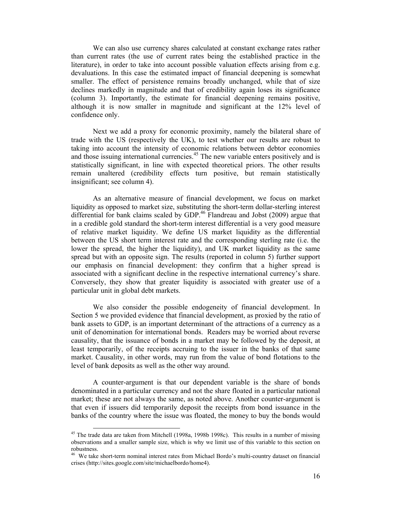We can also use currency shares calculated at constant exchange rates rather than current rates (the use of current rates being the established practice in the literature), in order to take into account possible valuation effects arising from e.g. devaluations. In this case the estimated impact of financial deepening is somewhat smaller. The effect of persistence remains broadly unchanged, while that of size declines markedly in magnitude and that of credibility again loses its significance (column 3). Importantly, the estimate for financial deepening remains positive, although it is now smaller in magnitude and significant at the 12% level of confidence only.

Next we add a proxy for economic proximity, namely the bilateral share of trade with the US (respectively the UK), to test whether our results are robust to taking into account the intensity of economic relations between debtor economies and those issuing international currencies.<sup>45</sup> The new variable enters positively and is statistically significant, in line with expected theoretical priors. The other results remain unaltered (credibility effects turn positive, but remain statistically insignificant; see column 4).

As an alternative measure of financial development, we focus on market liquidity as opposed to market size, substituting the short-term dollar-sterling interest differential for bank claims scaled by  $GDP<sup>46</sup>$  Flandreau and Jobst (2009) argue that in a credible gold standard the short-term interest differential is a very good measure of relative market liquidity. We define US market liquidity as the differential between the US short term interest rate and the corresponding sterling rate (i.e. the lower the spread, the higher the liquidity), and UK market liquidity as the same spread but with an opposite sign. The results (reported in column 5) further support our emphasis on financial development: they confirm that a higher spread is associated with a significant decline in the respective international currency's share. Conversely, they show that greater liquidity is associated with greater use of a particular unit in global debt markets.

We also consider the possible endogeneity of financial development. In Section 5 we provided evidence that financial development, as proxied by the ratio of bank assets to GDP, is an important determinant of the attractions of a currency as a unit of denomination for international bonds. Readers may be worried about reverse causality, that the issuance of bonds in a market may be followed by the deposit, at least temporarily, of the receipts accruing to the issuer in the banks of that same market. Causality, in other words, may run from the value of bond flotations to the level of bank deposits as well as the other way around.

A counter-argument is that our dependent variable is the share of bonds denominated in a particular currency and not the share floated in a particular national market; these are not always the same, as noted above. Another counter-argument is that even if issuers did temporarily deposit the receipts from bond issuance in the banks of the country where the issue was floated, the money to buy the bonds would

<sup>&</sup>lt;sup>45</sup> The trade data are taken from Mitchell (1998a, 1998b 1998c). This results in a number of missing observations and a smaller sample size, which is why we limit use of this variable to this section on robustness.

<sup>46</sup> We take short-term nominal interest rates from Michael Bordo's multi-country dataset on financial crises (http://sites.google.com/site/michaelbordo/home4).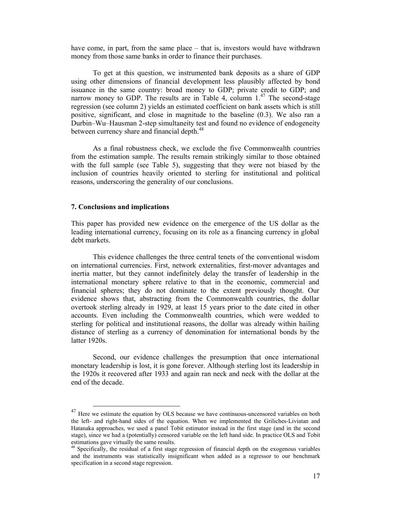have come, in part, from the same place – that is, investors would have withdrawn money from those same banks in order to finance their purchases.

To get at this question, we instrumented bank deposits as a share of GDP using other dimensions of financial development less plausibly affected by bond issuance in the same country: broad money to GDP; private credit to GDP; and narrow money to GDP. The results are in Table 4, column  $1<sup>47</sup>$  The second-stage regression (see column 2) yields an estimated coefficient on bank assets which is still positive, significant, and close in magnitude to the baseline (0.3). We also ran a Durbin–Wu–Hausman 2-step simultaneity test and found no evidence of endogeneity between currency share and financial depth.<sup>48</sup>

 As a final robustness check, we exclude the five Commonwealth countries from the estimation sample. The results remain strikingly similar to those obtained with the full sample (see Table 5), suggesting that they were not biased by the inclusion of countries heavily oriented to sterling for institutional and political reasons, underscoring the generality of our conclusions.

## **7. Conclusions and implications**

This paper has provided new evidence on the emergence of the US dollar as the leading international currency, focusing on its role as a financing currency in global debt markets.

This evidence challenges the three central tenets of the conventional wisdom on international currencies. First, network externalities, first-mover advantages and inertia matter, but they cannot indefinitely delay the transfer of leadership in the international monetary sphere relative to that in the economic, commercial and financial spheres; they do not dominate to the extent previously thought. Our evidence shows that, abstracting from the Commonwealth countries, the dollar overtook sterling already in 1929, at least 15 years prior to the date cited in other accounts. Even including the Commonwealth countries, which were wedded to sterling for political and institutional reasons, the dollar was already within hailing distance of sterling as a currency of denomination for international bonds by the latter 1920s.

Second, our evidence challenges the presumption that once international monetary leadership is lost, it is gone forever. Although sterling lost its leadership in the 1920s it recovered after 1933 and again ran neck and neck with the dollar at the end of the decade.

 $47$  Here we estimate the equation by OLS because we have continuous-uncensored variables on both the left- and right-hand sides of the equation. When we implemented the Griliches-Liviatan and Hatanaka approaches, we used a panel Tobit estimator instead in the first stage (and in the second stage), since we had a (potentially) censored variable on the left hand side. In practice OLS and Tobit estimations gave virtually the same results.

<sup>48</sup> Specifically, the residual of a first stage regression of financial depth on the exogenous variables and the instruments was statistically insignificant when added as a regressor to our benchmark specification in a second stage regression.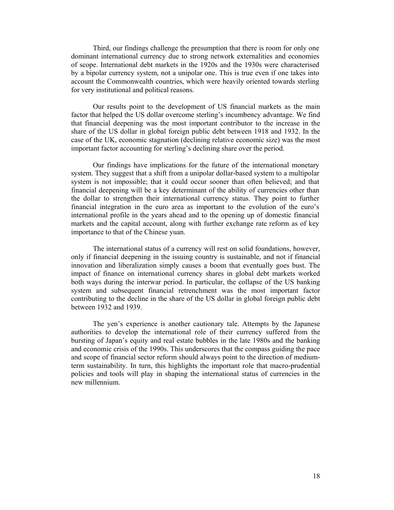Third, our findings challenge the presumption that there is room for only one dominant international currency due to strong network externalities and economies of scope. International debt markets in the 1920s and the 1930s were characterised by a bipolar currency system, not a unipolar one. This is true even if one takes into account the Commonwealth countries, which were heavily oriented towards sterling for very institutional and political reasons.

Our results point to the development of US financial markets as the main factor that helped the US dollar overcome sterling's incumbency advantage. We find that financial deepening was the most important contributor to the increase in the share of the US dollar in global foreign public debt between 1918 and 1932. In the case of the UK, economic stagnation (declining relative economic size) was the most important factor accounting for sterling's declining share over the period.

Our findings have implications for the future of the international monetary system. They suggest that a shift from a unipolar dollar-based system to a multipolar system is not impossible; that it could occur sooner than often believed; and that financial deepening will be a key determinant of the ability of currencies other than the dollar to strengthen their international currency status. They point to further financial integration in the euro area as important to the evolution of the euro's international profile in the years ahead and to the opening up of domestic financial markets and the capital account, along with further exchange rate reform as of key importance to that of the Chinese yuan.

The international status of a currency will rest on solid foundations, however, only if financial deepening in the issuing country is sustainable, and not if financial innovation and liberalization simply causes a boom that eventually goes bust. The impact of finance on international currency shares in global debt markets worked both ways during the interwar period. In particular, the collapse of the US banking system and subsequent financial retrenchment was the most important factor contributing to the decline in the share of the US dollar in global foreign public debt between 1932 and 1939.

The yen's experience is another cautionary tale. Attempts by the Japanese authorities to develop the international role of their currency suffered from the bursting of Japan's equity and real estate bubbles in the late 1980s and the banking and economic crisis of the 1990s. This underscores that the compass guiding the pace and scope of financial sector reform should always point to the direction of mediumterm sustainability. In turn, this highlights the important role that macro-prudential policies and tools will play in shaping the international status of currencies in the new millennium.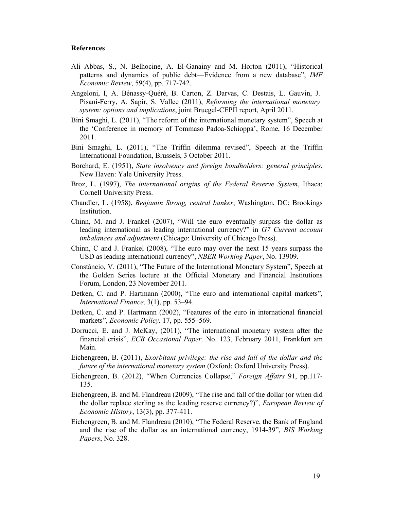## **References**

- Ali Abbas, S., N. Belhocine, A. El-Ganainy and M. Horton (2011), "Historical patterns and dynamics of public debt—Evidence from a new database", *IMF Economic Review*, 59(4), pp. 717-742.
- Angeloni, I, A. Bénassy-Quéré, B. Carton, Z. Darvas, C. Destais, L. Gauvin, J. Pisani-Ferry, A. Sapir, S. Vallee (2011), *Reforming the international monetary system: options and implications*, joint Bruegel-CEPII report, April 2011.
- Bini Smaghi, L. (2011), "The reform of the international monetary system", Speech at the 'Conference in memory of Tommaso Padoa-Schioppa', Rome, 16 December 2011.
- Bini Smaghi, L. (2011), "The Triffin dilemma revised", Speech at the Triffin International Foundation, Brussels, 3 October 2011.
- Borchard, E. (1951), *State insolvency and foreign bondholders: general principles*, New Haven: Yale University Press.
- Broz, L. (1997), *The international origins of the Federal Reserve System*, Ithaca: Cornell University Press.
- Chandler, L. (1958), *Benjamin Strong, central banker*, Washington, DC: Brookings Institution.
- Chinn, M. and J. Frankel (2007), "Will the euro eventually surpass the dollar as leading international as leading international currency?" in *G7 Current account imbalances and adjustment* (Chicago: University of Chicago Press).
- Chinn, C and J. Frankel (2008), "The euro may over the next 15 years surpass the USD as leading international currency", *NBER Working Paper*, No. 13909.
- Constâncio, V. (2011), "The Future of the International Monetary System", Speech at the Golden Series lecture at the Official Monetary and Financial Institutions Forum, London, 23 November 2011.
- Detken, C. and P. Hartmann (2000), "The euro and international capital markets", *International Finance,* 3(1), pp. 53–94.
- Detken, C. and P. Hartmann (2002), "Features of the euro in international financial markets", *Economic Policy,* 17, pp. 555–569.
- Dorrucci, E. and J. McKay, (2011), "The international monetary system after the financial crisis", *ECB Occasional Paper,* No. 123, February 2011, Frankfurt am Main.
- Eichengreen, B. (2011), *Exorbitant privilege: the rise and fall of the dollar and the future of the international monetary system* (Oxford: Oxford University Press).
- Eichengreen, B. (2012), "When Currencies Collapse," *Foreign Affairs* 91, pp.117- 135.
- Eichengreen, B. and M. Flandreau (2009), "The rise and fall of the dollar (or when did the dollar replace sterling as the leading reserve currency?)", *European Review of Economic History*, 13(3), pp. 377-411.
- Eichengreen, B. and M. Flandreau (2010), "The Federal Reserve, the Bank of England and the rise of the dollar as an international currency, 1914-39", *BIS Working Papers*, No. 328.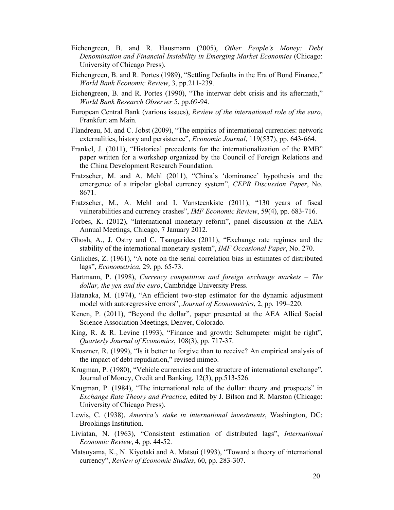- Eichengreen, B. and R. Hausmann (2005), *Other People's Money: Debt Denomination and Financial Instability in Emerging Market Economies* (Chicago: University of Chicago Press).
- Eichengreen, B. and R. Portes (1989), "Settling Defaults in the Era of Bond Finance," *World Bank Economic Review*, 3, pp.211-239.
- Eichengreen, B. and R. Portes (1990), "The interwar debt crisis and its aftermath," *World Bank Research Observer* 5, pp.69-94.
- European Central Bank (various issues), *Review of the international role of the euro*, Frankfurt am Main.
- Flandreau, M. and C. Jobst (2009), "The empirics of international currencies: network externalities, history and persistence", *Economic Journal*, 119(537), pp. 643-664.
- Frankel, J. (2011), "Historical precedents for the internationalization of the RMB" paper written for a workshop organized by the Council of Foreign Relations and the China Development Research Foundation.
- Fratzscher, M. and A. Mehl (2011), "China's 'dominance' hypothesis and the emergence of a tripolar global currency system", *CEPR Discussion Paper*, No. 8671.
- Fratzscher, M., A. Mehl and I. Vansteenkiste (2011), "130 years of fiscal vulnerabilities and currency crashes", *IMF Economic Review*, 59(4), pp. 683-716.
- Forbes, K. (2012), "International monetary reform", panel discussion at the AEA Annual Meetings, Chicago, 7 January 2012.
- Ghosh, A., J. Ostry and C. Tsangarides (2011), "Exchange rate regimes and the stability of the international monetary system", *IMF Occasional Paper*, No. 270.
- Griliches, Z. (1961), "A note on the serial correlation bias in estimates of distributed lags", *Econometrica*, 29, pp. 65-73.
- Hartmann, P. (1998), *Currency competition and foreign exchange markets The dollar, the yen and the euro*, Cambridge University Press.
- Hatanaka, M. (1974), "An efficient two-step estimator for the dynamic adjustment model with autoregressive errors", *Journal of Econometrics*, 2, pp. 199–220.
- Kenen, P. (2011), "Beyond the dollar", paper presented at the AEA Allied Social Science Association Meetings, Denver, Colorado.
- King, R. & R. Levine (1993), "Finance and growth: Schumpeter might be right", *Quarterly Journal of Economics*, 108(3), pp. 717-37.
- Kroszner, R. (1999), "Is it better to forgive than to receive? An empirical analysis of the impact of debt repudiation," revised mimeo.
- Krugman, P. (1980), "Vehicle currencies and the structure of international exchange", Journal of Money, Credit and Banking, 12(3), pp.513-526.
- Krugman, P. (1984), "The international role of the dollar: theory and prospects" in *Exchange Rate Theory and Practice*, edited by J. Bilson and R. Marston (Chicago: University of Chicago Press).
- Lewis, C. (1938), *America's stake in international investments*, Washington, DC: Brookings Institution.
- Liviatan, N. (1963), "Consistent estimation of distributed lags", *International Economic Review*, 4, pp. 44-52.
- Matsuyama, K., N. Kiyotaki and A. Matsui (1993), "Toward a theory of international currency", *Review of Economic Studies*, 60, pp. 283-307.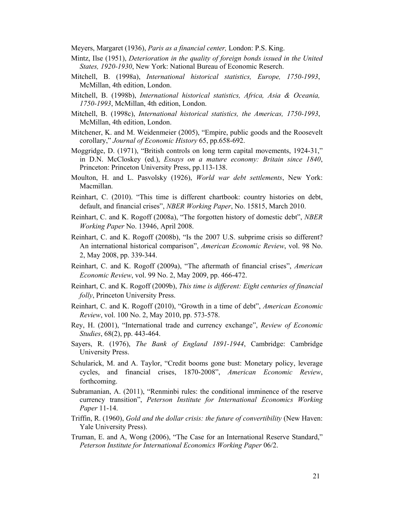Meyers, Margaret (1936), *Paris as a financial center,* London: P.S. King.

- Mintz, Ilse (1951), *Deterioration in the quality of foreign bonds issued in the United States, 1920-1930*, New York: National Bureau of Economic Reserch.
- Mitchell, B. (1998a), *International historical statistics, Europe, 1750-1993*, McMillan, 4th edition, London.
- Mitchell, B. (1998b), *International historical statistics, Africa, Asia & Oceania, 1750-1993*, McMillan, 4th edition, London.
- Mitchell, B. (1998c), *International historical statistics, the Americas, 1750-1993*, McMillan, 4th edition, London.
- Mitchener, K. and M. Weidenmeier (2005), "Empire, public goods and the Roosevelt corollary," *Journal of Economic History* 65, pp.658-692.
- Moggridge, D. (1971), "British controls on long term capital movements, 1924-31," in D.N. McCloskey (ed.), *Essays on a mature economy: Britain since 1840*, Princeton: Princeton University Press, pp.113-138.
- Moulton, H. and L. Pasvolsky (1926), *World war debt settlements*, New York: Macmillan.
- Reinhart, C. (2010). "This time is different chartbook: country histories on debt, default, and financial crises", *NBER Working Paper*, No. 15815, March 2010.
- Reinhart, C. and K. Rogoff (2008a), "The forgotten history of domestic debt", *NBER Working Paper* No. 13946, April 2008.
- Reinhart, C. and K. Rogoff (2008b), "Is the 2007 U.S. subprime crisis so different? An international historical comparison", *American Economic Review*, vol. 98 No. 2, May 2008, pp. 339-344.
- Reinhart, C. and K. Rogoff (2009a), "The aftermath of financial crises", *American Economic Review*, vol. 99 No. 2, May 2009, pp. 466-472.
- Reinhart, C. and K. Rogoff (2009b), *This time is different: Eight centuries of financial folly*, Princeton University Press.
- Reinhart, C. and K. Rogoff (2010), "Growth in a time of debt", *American Economic Review*, vol. 100 No. 2, May 2010, pp. 573-578.
- Rey, H. (2001), "International trade and currency exchange", *Review of Economic Studies*, 68(2), pp. 443-464.
- Sayers, R. (1976), *The Bank of England 1891-1944*, Cambridge: Cambridge University Press.
- Schularick, M. and A. Taylor, "Credit booms gone bust: Monetary policy, leverage cycles, and financial crises, 1870-2008", *American Economic Review*, forthcoming.
- Subramanian, A. (2011), "Renminbi rules: the conditional imminence of the reserve currency transition", *Peterson Institute for International Economics Working Paper* 11-14.
- Triffin, R. (1960), *Gold and the dollar crisis: the future of convertibility* (New Haven: Yale University Press).
- Truman, E. and A, Wong (2006), "The Case for an International Reserve Standard," *Peterson Institute for International Economics Working Paper* 06/2.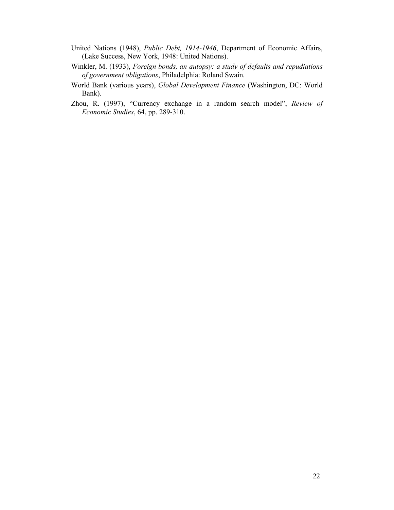- United Nations (1948), *Public Debt, 1914-1946*, Department of Economic Affairs, (Lake Success, New York, 1948: United Nations).
- Winkler, M. (1933), *Foreign bonds, an autopsy: a study of defaults and repudiations of government obligations*, Philadelphia: Roland Swain.
- World Bank (various years), *Global Development Finance* (Washington, DC: World Bank).
- Zhou, R. (1997), "Currency exchange in a random search model", *Review of Economic Studies*, 64, pp. 289-310.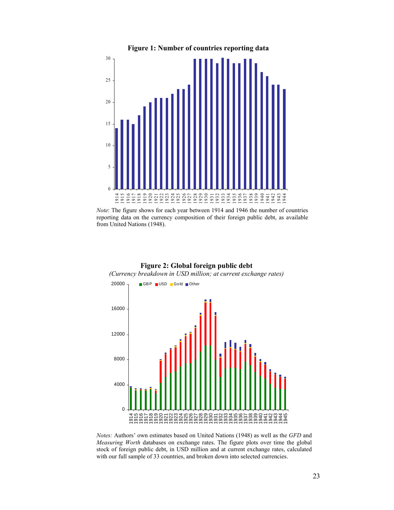

*Note*: The figure shows for each year between 1914 and 1946 the number of countries reporting data on the currency composition of their foreign public debt, as available from United Nations (1948).

## **Figure 2: Global foreign public debt**

*(Currency breakdown in USD million; at current exchange rates)* 



*Notes:* Authors' own estimates based on United Nations (1948) as well as the *GFD* and *Measuring Worth* databases on exchange rates. The figure plots over time the global stock of foreign public debt, in USD million and at current exchange rates, calculated with our full sample of 33 countries, and broken down into selected currencies.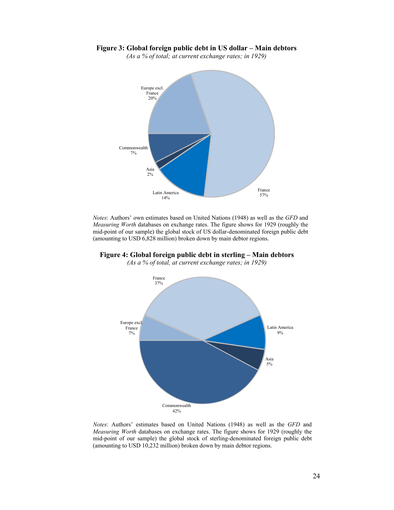#### **Figure 3: Global foreign public debt in US dollar – Main debtors**

Europe excl. France 20% France<br>57% Latin America 14% Asia  $20/6$ Commonwealth 7%

*(As a % of total; at current exchange rates; in 1929)* 

*Notes*: Authors' own estimates based on United Nations (1948) as well as the *GFD* and *Measuring Worth* databases on exchange rates. The figure shows for 1929 (roughly the mid-point of our sample) the global stock of US dollar-denominated foreign public debt (amounting to USD 6,828 million) broken down by main debtor regions.



**Figure 4: Global foreign public debt in sterling – Main debtors**  *(As a % of total, at current exchange rates; in 1929)* 

*Notes*: Authors' estimates based on United Nations (1948) as well as the *GFD* and *Measuring Worth* databases on exchange rates. The figure shows for 1929 (roughly the mid-point of our sample) the global stock of sterling-denominated foreign public debt (amounting to USD 10,232 million) broken down by main debtor regions.

42%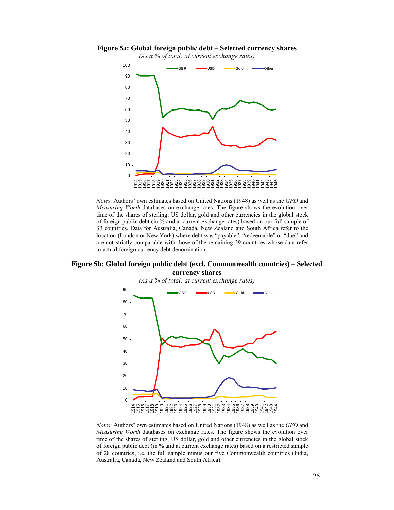





*Notes*: Authors' own estimates based on United Nations (1948) as well as the *GFD* and *Measuring Worth* databases on exchange rates. The figure shows the evolution over time of the shares of sterling, US dollar, gold and other currencies in the global stock of foreign public debt (in % and at current exchange rates) based on our full sample of 33 countries. Data for Australia, Canada, New Zealand and South Africa refer to the location (London or New York) where debt was "payable", "redeemable" or "due" and are not strictly comparable with those of the remaining 29 countries whose data refer to actual foreign currency debt denomination.

## **Figure 5b: Global foreign public debt (excl. Commonwealth countries) – Selected currency shares**





*Notes*: Authors' own estimates based on United Nations (1948) as well as the *GFD* and *Measuring Worth* databases on exchange rates. The figure shows the evolution over time of the shares of sterling, US dollar, gold and other currencies in the global stock of foreign public debt (in % and at current exchange rates) based on a restricted sample of 28 countries, i.e. the full sample minus our five Commonwealth countries (India, Australia, Canada, New Zealand and South Africa).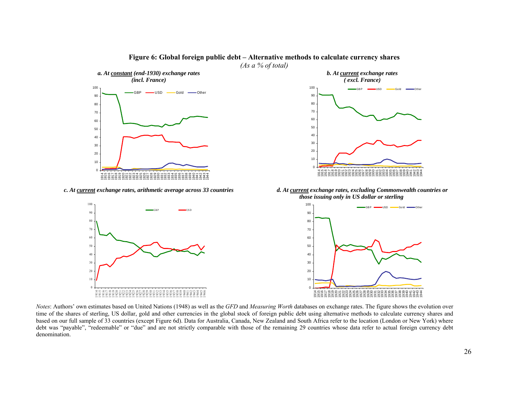

*Notes*: Authors' own estimates based on United Nations (1948) as well as the *GFD* and *Measuring Worth* databases on exchange rates. The figure shows the evolution over time of the shares of sterling, US dollar, gold and other currencies in the global stock of foreign public debt using alternative methods to calculate currency shares and based on our full sample of 33 countries (except Figure 6d). Data for Australia, Canada, New Zealand and South Africa refer to the location (London or New York) where debt was "payable", "redeemable" or "due" and are not strictly comparable with those of the remaining 29 countries whose data refer to actual foreign currency debt denomination.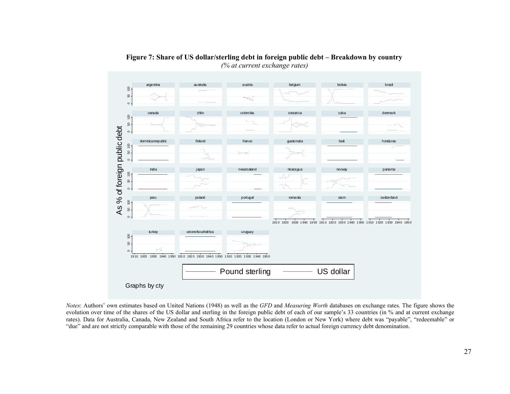

**Figure 7: Share of US dollar/sterling debt in foreign public debt – Breakdown by country**  *(% at current exchange rates)*

*Notes*: Authors' own estimates based on United Nations (1948) as well as the *GFD* and *Measuring Worth* databases on exchange rates. The figure shows the evolution over time of the shares of the US dollar and sterling in the foreign public debt of each of our sample's 33 countries (in % and at current exchange rates). Data for Australia, Canada, New Zealand and South Africa refer to the location (London or New York) where debt was "payable", "redeemable" or "due" and are not strictly comparable with those of the remaining 29 countries whose data refer to actual foreign currency debt denomination.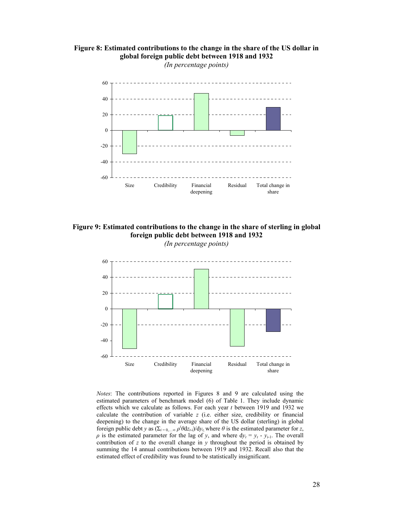



**Figure 9: Estimated contributions to the change in the share of sterling in global foreign public debt between 1918 and 1932** 

*(In percentage points)* 



*Notes*: The contributions reported in Figures 8 and 9 are calculated using the estimated parameters of benchmark model (6) of Table 1. They include dynamic effects which we calculate as follows. For each year *t* between 1919 and 1932 we calculate the contribution of variable *z* (i.e. either size, credibility or financial deepening) to the change in the average share of the US dollar (sterling) in global foreign public debt *y* as  $(\Sigma_{i=0,\dots} \rho^{i} \theta dz_{i})/dy_{i}$ , where  $\theta$  is the estimated parameter for *z*, *ρ* is the estimated parameter for the lag of *y*, and where  $dy_t = y_t - y_{t-1}$ . The overall contribution of *z* to the overall change in *y* throughout the period is obtained by summing the 14 annual contributions between 1919 and 1932. Recall also that the estimated effect of credibility was found to be statistically insignificant.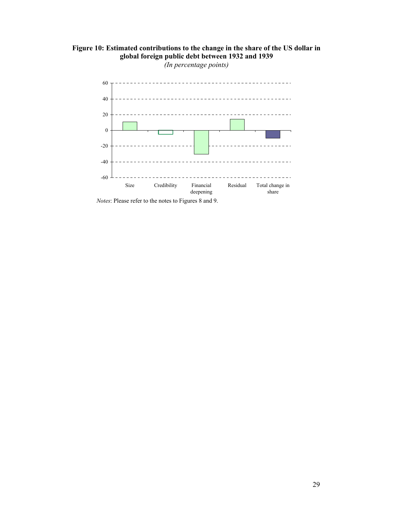



*Notes*: Please refer to the notes to Figures 8 and 9.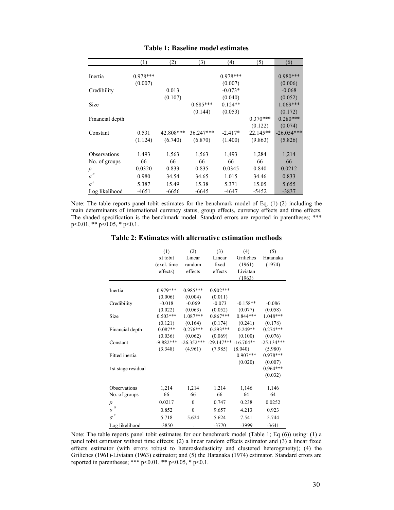|                        | (1)        | (2)       | (3)        | (4)        | (5)        | (6)          |
|------------------------|------------|-----------|------------|------------|------------|--------------|
|                        |            |           |            |            |            |              |
| Inertia                | $0.978***$ |           |            | $0.978***$ |            | $0.980***$   |
|                        | (0.007)    |           |            | (0.007)    |            | (0.006)      |
| Credibility            |            | 0.013     |            | $-0.073*$  |            | $-0.068$     |
|                        |            | (0.107)   |            | (0.040)    |            | (0.052)      |
| Size                   |            |           | $0.685***$ | $0.124**$  |            | $1.069***$   |
|                        |            |           | (0.144)    | (0.053)    |            | (0.172)      |
| Financial depth        |            |           |            |            | $0.370***$ | $0.280***$   |
|                        |            |           |            |            | (0.122)    | (0.074)      |
| Constant               | 0.531      | 42.808*** | 36.247***  | $-2.417*$  | 22.145**   | $-26.054***$ |
|                        | (1.124)    | (6.740)   | (6.870)    | (1.400)    | (9.863)    | (5.826)      |
|                        |            |           |            |            |            |              |
| Observations           | 1,493      | 1,563     | 1,563      | 1,493      | 1,284      | 1,214        |
| No. of groups          | 66         | 66        | 66         | 66         | 66         | 66           |
| $\rho$                 | 0.0320     | 0.833     | 0.835      | 0.0345     | 0.840      | 0.0212       |
| $\sigma^{\alpha}$      | 0.980      | 34.54     | 34.65      | 1.015      | 34.46      | 0.833        |
| $\sigma^{\varepsilon}$ | 5.387      | 15.49     | 15.38      | 5.371      | 15.05      | 5.655        |
| Log likelihood         | $-4651$    | -6656     | -6645      | -4647      | -5452      | $-3837$      |

### **Table 1: Baseline model estimates**

Note: The table reports panel tobit estimates for the benchmark model of Eq. (1)-(2) including the main determinants of international currency status, group effects, currency effects and time effects. The shaded specification is the benchmark model. Standard errors are reported in parentheses; \*\*\* p<0.01, \*\* p<0.05, \* p<0.1.

| Table 2: Estimates with alternative estimation methods |
|--------------------------------------------------------|
|--------------------------------------------------------|

|                        | (1)         | (2)          | (3)          | (4)         | (5)          |
|------------------------|-------------|--------------|--------------|-------------|--------------|
|                        | xt tobit    | Linear       | Linear       | Griliches   | Hatanaka     |
|                        | (excl. time | random       | fixed        | (1961)      | (1974)       |
|                        | effects)    | effects      | effects      | Liviatan    |              |
|                        |             |              |              | (1963)      |              |
| Inertia                | $0.979***$  | $0.985***$   | $0.902***$   |             |              |
|                        | (0.006)     | (0.004)      | (0.011)      |             |              |
| Credibility            | $-0.018$    | $-0.069$     | $-0.073$     | $-0.158**$  | $-0.086$     |
|                        | (0.022)     | (0.063)      | (0.052)      | (0.077)     | (0.058)      |
| Size                   | $0.503***$  | 1.087***     | $0.867***$   | $0.844***$  | 1.048***     |
|                        | (0.121)     | (0.164)      | (0.174)      | (0.241)     | (0.178)      |
| Financial depth        | $0.087**$   | $0.276***$   | $0.293***$   | $0.249**$   | $0.274***$   |
|                        | (0.036)     | (0.062)      | (0.069)      | (0.100)     | (0.076)      |
| Constant               | $-9.882***$ | $-26.352***$ | $-29.147***$ | $-16.704**$ | $-25.134***$ |
|                        | (3.348)     | (4.961)      | (7.985)      | (8.040)     | (5.980)      |
| Fitted inertia         |             |              |              | $0.907***$  | $0.978***$   |
|                        |             |              |              | (0.020)     | (0.007)      |
| 1st stage residual     |             |              |              |             | $0.964***$   |
|                        |             |              |              |             | (0.032)      |
| Observations           |             |              |              |             |              |
|                        | 1,214       | 1,214        | 1,214        | 1,146       | 1,146        |
| No. of groups          | 66          | 66           | 66           | 64          | 64           |
| $\rho$                 | 0.0217      | $\theta$     | 0.747        | 0.238       | 0.0252       |
| $\sigma^{\alpha}$      | 0.852       | $\theta$     | 9.657        | 4.213       | 0.923        |
| $\sigma^{\varepsilon}$ | 5.718       | 5.624        | 5.624        | 7.541       | 5.744        |
| Log likelihood         | $-3850$     |              | $-3770$      | -3999       | $-3641$      |

Note: The table reports panel tobit estimates for our benchmark model (Table 1; Eq (6)) using: (1) a panel tobit estimator without time effects; (2) a linear random effects estimator and (3) a linear fixed effects estimator (with errors robust to heteroskedasticity and clustered heterogeneity); (4) the Griliches (1961)-Liviatan (1963) estimator; and (5) the Hatanaka (1974) estimator. Standard errors are reported in parentheses; \*\*\*  $p<0.01$ , \*\*  $p<0.05$ , \*  $p<0.1$ .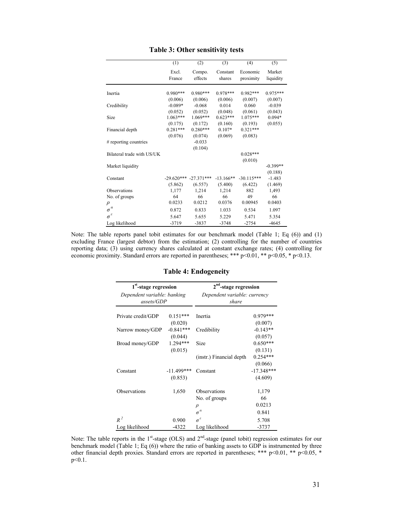|                            | (1)          | (2)          | (3)         | (4)          | (5)        |
|----------------------------|--------------|--------------|-------------|--------------|------------|
|                            | Excl.        | Compo.       | Constant    | Economic     | Market     |
|                            | France       | effects      | shares      | proximity    | liquidity  |
| Inertia                    | $0.980***$   | $0.980***$   | $0.978***$  | $0.982***$   | $0.975***$ |
|                            | (0.006)      | (0.006)      | (0.006)     | (0.007)      | (0.007)    |
| Credibility                | $-0.089*$    | $-0.068$     | 0.014       | 0.060        | $-0.039$   |
|                            | (0.052)      | (0.052)      | (0.048)     | (0.061)      | (0.043)    |
| Size                       | $1.063***$   | $1.069***$   | $0.623***$  | $1.075***$   | $0.094*$   |
|                            | (0.175)      | (0.172)      | (0.160)     | (0.193)      | (0.055)    |
| Financial depth            | $0.281***$   | $0.280***$   | $0.107*$    | $0.321***$   |            |
|                            | (0.076)      | (0.074)      | (0.069)     | (0.083)      |            |
| $#$ reporting countries    |              | $-0.033$     |             |              |            |
|                            |              | (0.104)      |             |              |            |
| Bilateral trade with US/UK |              |              |             | $0.028***$   |            |
|                            |              |              |             | (0.010)      |            |
| Market liquidity           |              |              |             |              | $-0.399**$ |
|                            |              |              |             |              | (0.188)    |
| Constant                   | $-29.620***$ | $-27.371***$ | $-13.166**$ | $-30.115***$ | $-1.483$   |
|                            | (5.862)      | (6.557)      | (5.400)     | (6.422)      | (1.469)    |
| Observations               | 1,177        | 1,214        | 1,214       | 882          | 1,493      |
| No. of groups              | 64           | 66           | 66          | 49           | 66         |
| $\rho$                     | 0.0233       | 0.0212       | 0.0376      | 0.00945      | 0.0403     |
| $\sigma^{\alpha}$          | 0.872        | 0.833        | 1.033       | 0.534        | 1.097      |
| $\sigma^{\varepsilon}$     | 5.647        | 5.655        | 5.229       | 5.471        | 5.354      |
| Log likelihood             | $-3719$      | $-3837$      | $-3748$     | $-2754$      | $-4645$    |

## **Table 3: Other sensitivity tests**

Note: The table reports panel tobit estimates for our benchmark model (Table 1; Eq (6)) and (1) excluding France (largest debtor) from the estimation; (2) controlling for the number of countries reporting data; (3) using currency shares calculated at constant exchange rates; (4) controlling for economic proximity. Standard errors are reported in parentheses; \*\*\* p<0.01, \*\* p<0.05, \* p<0.13.

| 1 <sup>st</sup> -stage regression<br>Dependent variable: banking<br>assets/GDP |                         | 2 <sup>nd</sup> -stage regression<br>Dependent variable: currency<br>share |                                    |  |  |
|--------------------------------------------------------------------------------|-------------------------|----------------------------------------------------------------------------|------------------------------------|--|--|
| Private credit/GDP                                                             | $0.151***$<br>(0.020)   | Inertia                                                                    | $0.979***$<br>(0.007)              |  |  |
| Narrow money/GDP                                                               | $-0.841***$<br>(0.044)  | Credibility                                                                | $-0.143**$<br>(0.057)              |  |  |
| Broad money/GDP                                                                | 1.294***<br>(0.015)     | Size                                                                       | $0.650***$<br>(0.131)              |  |  |
|                                                                                |                         | (instr.) Financial depth                                                   | $0.254***$                         |  |  |
| Constant                                                                       | $-11.499***$<br>(0.853) | Constant                                                                   | (0.066)<br>$-17.348***$<br>(4.609) |  |  |
| Observations                                                                   | 1,650                   | Observations<br>No. of groups<br>$\rho$<br>$\sigma^{\alpha}$               | 1,179<br>66<br>0.0213<br>0.841     |  |  |
| $R^2$<br>Log likelihood                                                        | 0.900<br>$-4322$        | $\sigma^{\varepsilon}$<br>Log likelihood                                   | 5.708<br>-3737                     |  |  |

#### **Table 4: Endogeneity**

Note: The table reports in the 1<sup>st</sup>-stage (OLS) and 2<sup>nd</sup>-stage (panel tobit) regression estimates for our benchmark model (Table 1; Eq (6)) where the ratio of banking assets to GDP is instrumented by three other financial depth proxies. Standard errors are reported in parentheses; \*\*\* p<0.01, \*\* p<0.05, \* p<0.1.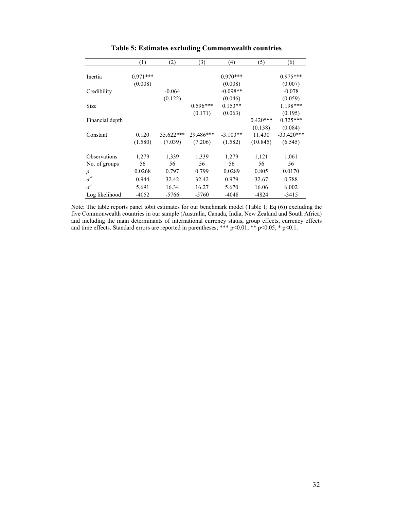|                      | (1)        | (2)       | (3)        | (4)        | (5)        | (6)          |
|----------------------|------------|-----------|------------|------------|------------|--------------|
| Inertia              | $0.971***$ |           |            | $0.970***$ |            | $0.975***$   |
|                      |            |           |            | (0.008)    |            |              |
|                      | (0.008)    |           |            |            |            | (0.007)      |
| Credibility          |            | $-0.064$  |            | $-0.098**$ |            | $-0.078$     |
|                      |            | (0.122)   |            | (0.046)    |            | (0.059)      |
| Size                 |            |           | $0.596***$ | $0.153**$  |            | 1.198***     |
|                      |            |           | (0.171)    | (0.063)    |            | (0.195)      |
| Financial depth      |            |           |            |            | $0.420***$ | $0.325***$   |
|                      |            |           |            |            | (0.138)    | (0.084)      |
| Constant             | 0.120      | 35.622*** | 29.486***  | $-3.103**$ | 11.430     | $-33.420***$ |
|                      | (1.580)    | (7.039)   | (7.206)    | (1.582)    | (10.845)   | (6.545)      |
| <b>Observations</b>  | 1,279      | 1,339     | 1,339      | 1,279      | 1,121      | 1,061        |
| No. of groups        | 56         | 56        | 56         | 56         | 56         | 56           |
| $\rho$               | 0.0268     | 0.797     | 0.799      | 0.0289     | 0.805      | 0.0170       |
| $\sigma^{\alpha}$    | 0.944      | 32.42     | 32.42      | 0.979      | 32.67      | 0.788        |
| $\sigma^\varepsilon$ | 5.691      | 16.34     | 16.27      | 5.670      | 16.06      | 6.002        |
| Log likelihood       | $-4052$    | -5766     | -5760      | $-4048$    | -4824      | $-3415$      |

**Table 5: Estimates excluding Commonwealth countries** 

Note: The table reports panel tobit estimates for our benchmark model (Table 1; Eq (6)) excluding the five Commonwealth countries in our sample (Australia, Canada, India, New Zealand and South Africa) and including the main determinants of international currency status, group effects, currency effects and time effects. Standard errors are reported in parentheses; \*\*\*  $p<0.01$ , \*\*  $p<0.05$ , \*  $p<0.1$ .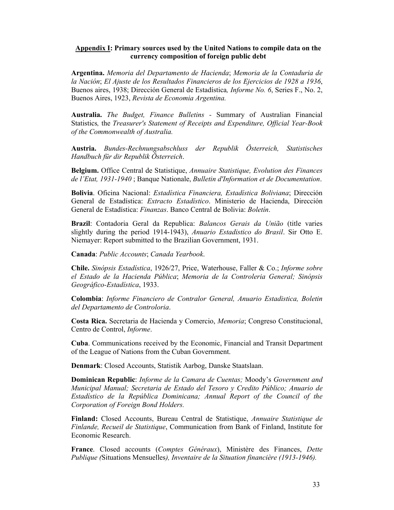# **Appendix I: Primary sources used by the United Nations to compile data on the currency composition of foreign public debt**

**Argentina.** *Memoria del Departamento de Hacienda*; *Memoria de la Contaduria de la Nación*; *El Ajuste de los Resultados Financieros de los Ejercicios de 1928 a 1936*, Buenos aires, 1938; Dirección General de Estadística*, Informe No. 6*, Series F., No. 2, Buenos Aires, 1923, *Revista de Economia Argentina.* 

**Australia.** *The Budget, Finance Bulletins -* Summary of Australian Financial Statistics*,* the *Treasurer's Statement of Receipts and Expenditure, Official Year-Book of the Commonwealth of Australia.*

**Austria.** *Bundes-Rechnungsabschluss der Republik Österreich, Statistisches Handbuch für dir Republik Österreich*.

**Belgium.** Office Central de Statistique, *Annuaire Statistique, Evolution des Finances de l'Etat, 1931-1940* ; Banque Nationale, *Bulletin d'Information et de Documentation*.

**Bolivia**. Oficina Nacional: *Estadística Financiera, Estadística Boliviana*; Dirección General de Estadística: *Extracto Estadístico*. Ministerio de Hacienda, Dirección General de Estadística: *Finanzas*. Banco Central de Bolivia: *Boletín*.

**Brazil**: Contadoria Geral da Republica: *Balancos Gerais da União* (title varies slightly during the period 1914-1943), *Anuario Estadistico do Brasil*. Sir Otto E. Niemayer: Report submitted to the Brazilian Government, 1931.

**Canada**: *Public Accounts*; *Canada Yearbook*.

**Chile.** *Sinópsis Estadística*, 1926/27, Price, Waterhouse, Faller & Co.; *Informe sobre el Estado de la Hacienda Pública*; *Memoria de la Controleria General; Sinópsis Geográfico-Estadística*, 1933.

**Colombia**: *Informe Financiero de Contralor General, Anuario Estadistica, Boletin del Departamento de Controloria*.

**Costa Rica.** Secretaria de Hacienda y Comercio, *Memoria*; Congreso Constitucional, Centro de Control, *Informe*.

**Cuba**. Communications received by the Economic, Financial and Transit Department of the League of Nations from the Cuban Government.

**Denmark**: Closed Accounts, Statistik Aarbog, Danske Staatslaan.

**Dominican Republic**: *Informe de la Camara de Cuentas;* Moody's *Government and Municipal Manual; Secretaria de Estado del Tesoro y Credito Público; Anuario de Estadístico de la República Dominicana; Annual Report of the Council of the Corporation of Foreign Bond Holders.*

**Finland:** Closed Accounts, Bureau Central de Statistique, *Annuaire Statistique de Finlande, Recueil de Statistique*, Communication from Bank of Finland, Institute for Economic Research.

**France**. Closed accounts (*Comptes Généraux*), Ministère des Finances, *Dette Publique (*Situations Mensuelles*), Inventaire de la Situation financière (1913-1946).*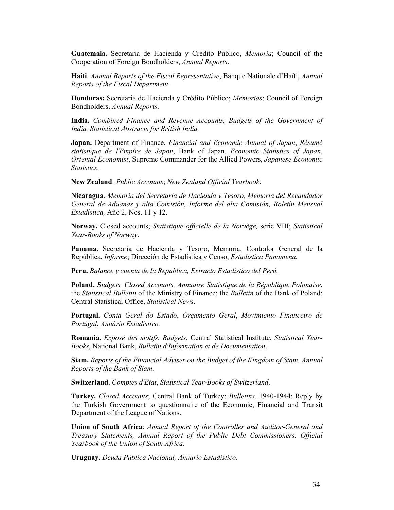**Guatemala.** Secretaria de Hacienda y Crédito Público, *Memoria*; Council of the Cooperation of Foreign Bondholders, *Annual Reports*.

**Haiti**. *Annual Reports of the Fiscal Representative*, Banque Nationale d'Haïti, *Annual Reports of the Fiscal Department*.

**Honduras:** Secretaria de Hacienda y Crédito Público; *Memorias*; Council of Foreign Bondholders, *Annual Reports*.

**India.** *Combined Finance and Revenue Accounts, Budgets of the Government of India, Statistical Abstracts for British India.*

**Japan.** Department of Finance, *Financial and Economic Annual of Japan*, *Résumé statistique de l'Empire de Japon*, Bank of Japan, *Economic Statistics of Japan*, *Oriental Economist*, Supreme Commander for the Allied Powers, *Japanese Economic Statistics.* 

**New Zealand**: *Public Accounts*; *New Zealand Official Yearbook*.

**Nicaragua**. *Memoria del Secretaria de Hacienda y Tesoro, Memoria del Recaudador General de Aduanas y alta Comisión, Informe del alta Comisión, Boletín Mensual Estadística,* Año 2, Nos. 11 y 12.

**Norway.** Closed accounts; *Statistique officielle de la Norvège,* serie VIII; *Statistical Year-Books of Norway*.

**Panama.** Secretaria de Hacienda y Tesoro, Memoria; Contralor General de la República, *Informe*; Dirección de Estadística y Censo, *Estadística Panamena.* 

**Peru.** *Balance y cuenta de la Republica, Extracto Estadístico del Perú.*

**Poland.** *Budgets, Closed Accounts, Annuaire Statistique de la République Polonaise*, the *Statistical Bulletin* of the Ministry of Finance; the *Bulletin* of the Bank of Poland; Central Statistical Office, *Statistical News*.

**Portugal**. *Conta Geral do Estado*, *Orçamento Geral*, *Movimiento Financeiro de Portugal*, *Anuário Estadistico.*

**Romania.** *Exposé des motifs*, *Budgets*, Central Statistical Institute, *Statistical Year-Books*, National Bank, *Bulletin d'Information et de Documentation*.

**Siam.** *Reports of the Financial Adviser on the Budget of the Kingdom of Siam. Annual Reports of the Bank of Siam.*

**Switzerland.** *Comptes d'Etat*, *Statistical Year-Books of Switzerland*.

**Turkey.** *Closed Accounts*; Central Bank of Turkey: *Bulletins.* 1940-1944: Reply by the Turkish Government to questionnaire of the Economic, Financial and Transit Department of the League of Nations.

**Union of South Africa**: *Annual Report of the Controller and Auditor-General and Treasury Statements, Annual Report of the Public Debt Commissioners. Official Yearbook of the Union of South Africa*.

**Uruguay.** *Deuda Pública Nacional, Anuario Estadístico*.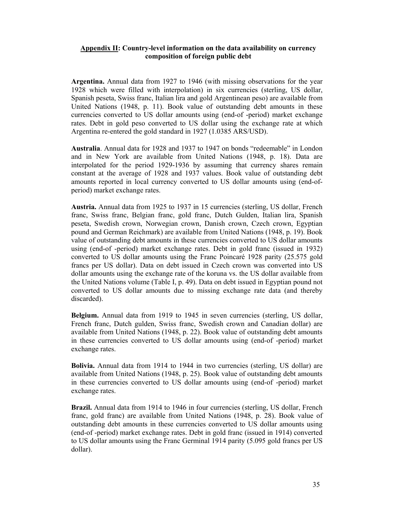# **Appendix II: Country-level information on the data availability on currency composition of foreign public debt**

**Argentina.** Annual data from 1927 to 1946 (with missing observations for the year 1928 which were filled with interpolation) in six currencies (sterling, US dollar, Spanish peseta, Swiss franc, Italian lira and gold Argentinean peso) are available from United Nations (1948, p. 11). Book value of outstanding debt amounts in these currencies converted to US dollar amounts using (end-of -period) market exchange rates. Debt in gold peso converted to US dollar using the exchange rate at which Argentina re-entered the gold standard in 1927 (1.0385 ARS/USD).

**Australia**. Annual data for 1928 and 1937 to 1947 on bonds "redeemable" in London and in New York are available from United Nations (1948, p. 18). Data are interpolated for the period 1929-1936 by assuming that currency shares remain constant at the average of 1928 and 1937 values. Book value of outstanding debt amounts reported in local currency converted to US dollar amounts using (end-ofperiod) market exchange rates.

**Austria.** Annual data from 1925 to 1937 in 15 currencies (sterling, US dollar, French franc, Swiss franc, Belgian franc, gold franc, Dutch Gulden, Italian lira, Spanish peseta, Swedish crown, Norwegian crown, Danish crown, Czech crown, Egyptian pound and German Reichmark) are available from United Nations (1948, p. 19). Book value of outstanding debt amounts in these currencies converted to US dollar amounts using (end-of -period) market exchange rates. Debt in gold franc (issued in 1932) converted to US dollar amounts using the Franc Poincaré 1928 parity (25.575 gold francs per US dollar). Data on debt issued in Czech crown was converted into US dollar amounts using the exchange rate of the koruna vs. the US dollar available from the United Nations volume (Table I, p. 49). Data on debt issued in Egyptian pound not converted to US dollar amounts due to missing exchange rate data (and thereby discarded).

**Belgium.** Annual data from 1919 to 1945 in seven currencies (sterling, US dollar, French franc, Dutch gulden, Swiss franc, Swedish crown and Canadian dollar) are available from United Nations (1948, p. 22). Book value of outstanding debt amounts in these currencies converted to US dollar amounts using (end-of -period) market exchange rates.

**Bolivia.** Annual data from 1914 to 1944 in two currencies (sterling, US dollar) are available from United Nations (1948, p. 25). Book value of outstanding debt amounts in these currencies converted to US dollar amounts using (end-of -period) market exchange rates.

**Brazil.** Annual data from 1914 to 1946 in four currencies (sterling, US dollar, French franc, gold franc) are available from United Nations (1948, p. 28). Book value of outstanding debt amounts in these currencies converted to US dollar amounts using (end-of -period) market exchange rates. Debt in gold franc (issued in 1914) converted to US dollar amounts using the Franc Germinal 1914 parity (5.095 gold francs per US dollar).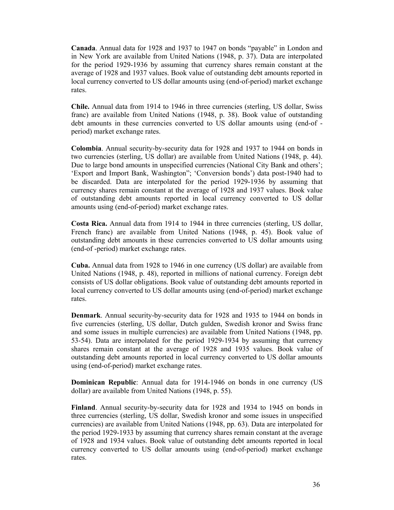**Canada**. Annual data for 1928 and 1937 to 1947 on bonds "payable" in London and in New York are available from United Nations (1948, p. 37). Data are interpolated for the period 1929-1936 by assuming that currency shares remain constant at the average of 1928 and 1937 values. Book value of outstanding debt amounts reported in local currency converted to US dollar amounts using (end-of-period) market exchange rates.

**Chile.** Annual data from 1914 to 1946 in three currencies (sterling, US dollar, Swiss franc) are available from United Nations (1948, p. 38). Book value of outstanding debt amounts in these currencies converted to US dollar amounts using (end-of period) market exchange rates.

**Colombia**. Annual security-by-security data for 1928 and 1937 to 1944 on bonds in two currencies (sterling, US dollar) are available from United Nations (1948, p. 44). Due to large bond amounts in unspecified currencies (National City Bank and others'; 'Export and Import Bank, Washington"; 'Conversion bonds') data post-1940 had to be discarded. Data are interpolated for the period 1929-1936 by assuming that currency shares remain constant at the average of 1928 and 1937 values. Book value of outstanding debt amounts reported in local currency converted to US dollar amounts using (end-of-period) market exchange rates.

**Costa Rica.** Annual data from 1914 to 1944 in three currencies (sterling, US dollar, French franc) are available from United Nations (1948, p. 45). Book value of outstanding debt amounts in these currencies converted to US dollar amounts using (end-of -period) market exchange rates.

**Cuba.** Annual data from 1928 to 1946 in one currency (US dollar) are available from United Nations (1948, p. 48), reported in millions of national currency. Foreign debt consists of US dollar obligations. Book value of outstanding debt amounts reported in local currency converted to US dollar amounts using (end-of-period) market exchange rates.

**Denmark**. Annual security-by-security data for 1928 and 1935 to 1944 on bonds in five currencies (sterling, US dollar, Dutch gulden, Swedish kronor and Swiss franc and some issues in multiple currencies) are available from United Nations (1948, pp. 53-54). Data are interpolated for the period 1929-1934 by assuming that currency shares remain constant at the average of 1928 and 1935 values. Book value of outstanding debt amounts reported in local currency converted to US dollar amounts using (end-of-period) market exchange rates.

**Dominican Republic**: Annual data for 1914-1946 on bonds in one currency (US dollar) are available from United Nations (1948, p. 55).

**Finland**. Annual security-by-security data for 1928 and 1934 to 1945 on bonds in three currencies (sterling, US dollar, Swedish kronor and some issues in unspecified currencies) are available from United Nations (1948, pp. 63). Data are interpolated for the period 1929-1933 by assuming that currency shares remain constant at the average of 1928 and 1934 values. Book value of outstanding debt amounts reported in local currency converted to US dollar amounts using (end-of-period) market exchange rates.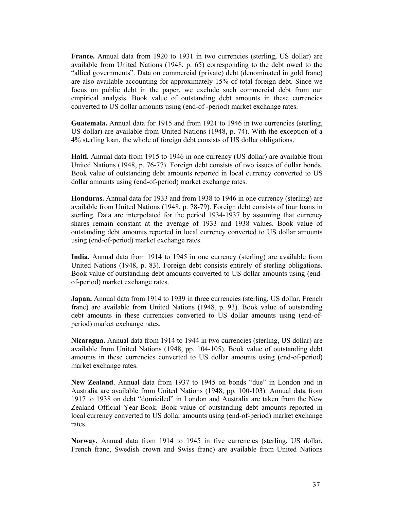**France.** Annual data from 1920 to 1931 in two currencies (sterling, US dollar) are available from United Nations (1948, p. 65) corresponding to the debt owed to the "allied governments". Data on commercial (private) debt (denominated in gold franc) are also available accounting for approximately 15% of total foreign debt. Since we focus on public debt in the paper, we exclude such commercial debt from our empirical analysis. Book value of outstanding debt amounts in these currencies converted to US dollar amounts using (end-of -period) market exchange rates.

**Guatemala.** Annual data for 1915 and from 1921 to 1946 in two currencies (sterling, US dollar) are available from United Nations (1948, p. 74). With the exception of a 4% sterling loan, the whole of foreign debt consists of US dollar obligations.

**Haiti.** Annual data from 1915 to 1946 in one currency (US dollar) are available from United Nations (1948, p. 76-77). Foreign debt consists of two issues of dollar bonds. Book value of outstanding debt amounts reported in local currency converted to US dollar amounts using (end-of-period) market exchange rates.

**Honduras.** Annual data for 1933 and from 1938 to 1946 in one currency (sterling) are available from United Nations (1948, p. 78-79). Foreign debt consists of four loans in sterling. Data are interpolated for the period 1934-1937 by assuming that currency shares remain constant at the average of 1933 and 1938 values. Book value of outstanding debt amounts reported in local currency converted to US dollar amounts using (end-of-period) market exchange rates.

**India.** Annual data from 1914 to 1945 in one currency (sterling) are available from United Nations (1948, p. 83). Foreign debt consists entirely of sterling obligations. Book value of outstanding debt amounts converted to US dollar amounts using (endof-period) market exchange rates.

**Japan.** Annual data from 1914 to 1939 in three currencies (sterling, US dollar, French franc) are available from United Nations (1948, p. 93). Book value of outstanding debt amounts in these currencies converted to US dollar amounts using (end-ofperiod) market exchange rates.

**Nicaragua.** Annual data from 1914 to 1944 in two currencies (sterling, US dollar) are available from United Nations (1948, pp. 104-105). Book value of outstanding debt amounts in these currencies converted to US dollar amounts using (end-of-period) market exchange rates.

**New Zealand**. Annual data from 1937 to 1945 on bonds "due" in London and in Australia are available from United Nations (1948, pp. 100-103). Annual data from 1917 to 1938 on debt "domiciled" in London and Australia are taken from the New Zealand Official Year-Book. Book value of outstanding debt amounts reported in local currency converted to US dollar amounts using (end-of-period) market exchange rates.

**Norway.** Annual data from 1914 to 1945 in five currencies (sterling, US dollar, French franc, Swedish crown and Swiss franc) are available from United Nations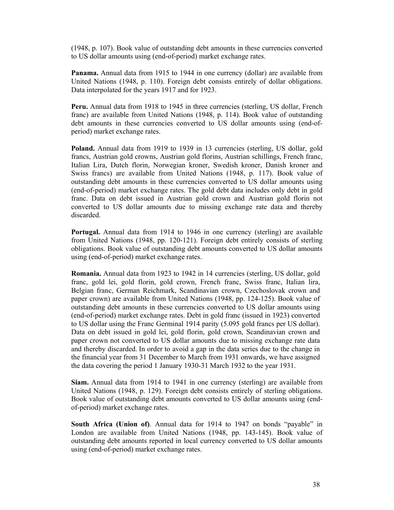(1948, p. 107). Book value of outstanding debt amounts in these currencies converted to US dollar amounts using (end-of-period) market exchange rates.

**Panama.** Annual data from 1915 to 1944 in one currency (dollar) are available from United Nations (1948, p. 110). Foreign debt consists entirely of dollar obligations. Data interpolated for the years 1917 and for 1923.

**Peru.** Annual data from 1918 to 1945 in three currencies (sterling, US dollar, French franc) are available from United Nations (1948, p. 114). Book value of outstanding debt amounts in these currencies converted to US dollar amounts using (end-ofperiod) market exchange rates.

**Poland.** Annual data from 1919 to 1939 in 13 currencies (sterling, US dollar, gold francs, Austrian gold crowns, Austrian gold florins, Austrian schillings, French franc, Italian Lira, Dutch florin, Norwegian kroner, Swedish kroner, Danish kroner and Swiss francs) are available from United Nations (1948, p. 117). Book value of outstanding debt amounts in these currencies converted to US dollar amounts using (end-of-period) market exchange rates. The gold debt data includes only debt in gold franc. Data on debt issued in Austrian gold crown and Austrian gold florin not converted to US dollar amounts due to missing exchange rate data and thereby discarded.

**Portugal.** Annual data from 1914 to 1946 in one currency (sterling) are available from United Nations (1948, pp. 120-121). Foreign debt entirely consists of sterling obligations. Book value of outstanding debt amounts converted to US dollar amounts using (end-of-period) market exchange rates.

**Romania.** Annual data from 1923 to 1942 in 14 currencies (sterling, US dollar, gold franc, gold lei, gold florin, gold crown, French franc, Swiss franc, Italian lira, Belgian franc, German Reichmark, Scandinavian crown, Czechoslovak crown and paper crown) are available from United Nations (1948, pp. 124-125). Book value of outstanding debt amounts in these currencies converted to US dollar amounts using (end-of-period) market exchange rates. Debt in gold franc (issued in 1923) converted to US dollar using the Franc Germinal 1914 parity (5.095 gold francs per US dollar). Data on debt issued in gold lei, gold florin, gold crown, Scandinavian crown and paper crown not converted to US dollar amounts due to missing exchange rate data and thereby discarded. In order to avoid a gap in the data series due to the change in the financial year from 31 December to March from 1931 onwards, we have assigned the data covering the period 1 January 1930-31 March 1932 to the year 1931.

**Siam.** Annual data from 1914 to 1941 in one currency (sterling) are available from United Nations (1948, p. 129). Foreign debt consists entirely of sterling obligations. Book value of outstanding debt amounts converted to US dollar amounts using (endof-period) market exchange rates.

**South Africa (Union of)**. Annual data for 1914 to 1947 on bonds "payable" in London are available from United Nations (1948, pp. 143-145). Book value of outstanding debt amounts reported in local currency converted to US dollar amounts using (end-of-period) market exchange rates.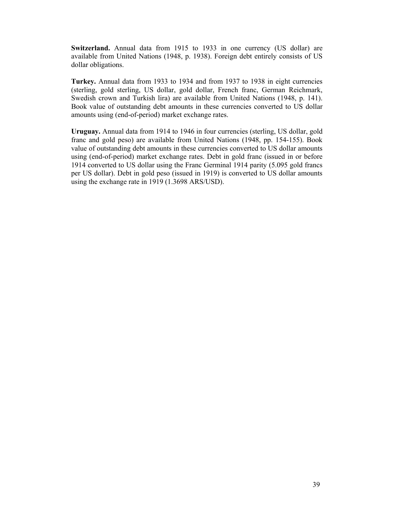**Switzerland.** Annual data from 1915 to 1933 in one currency (US dollar) are available from United Nations (1948, p. 1938). Foreign debt entirely consists of US dollar obligations.

**Turkey.** Annual data from 1933 to 1934 and from 1937 to 1938 in eight currencies (sterling, gold sterling, US dollar, gold dollar, French franc, German Reichmark, Swedish crown and Turkish lira) are available from United Nations (1948, p. 141). Book value of outstanding debt amounts in these currencies converted to US dollar amounts using (end-of-period) market exchange rates.

**Uruguay.** Annual data from 1914 to 1946 in four currencies (sterling, US dollar, gold franc and gold peso) are available from United Nations (1948, pp. 154-155). Book value of outstanding debt amounts in these currencies converted to US dollar amounts using (end-of-period) market exchange rates. Debt in gold franc (issued in or before 1914 converted to US dollar using the Franc Germinal 1914 parity (5.095 gold francs per US dollar). Debt in gold peso (issued in 1919) is converted to US dollar amounts using the exchange rate in 1919 (1.3698 ARS/USD).